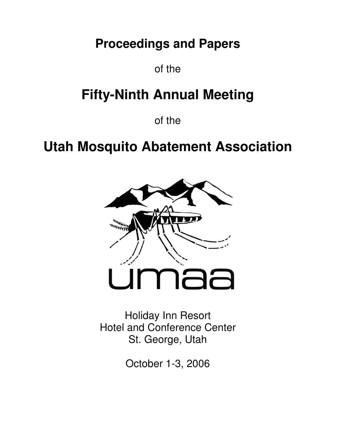# **Proceedings and Papers**

of the

# **Fifty-Ninth Annual Meeting**

of the

# **Utah Mosquito Abatement Association**



Holiday Inn Resort Hotel and Conference Center St. George, Utah

October 1-3, 2006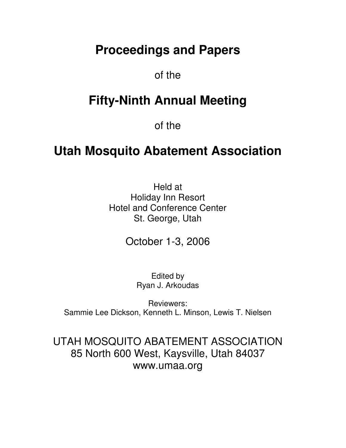# **Proceedings and Papers**

# of the

# **Fifty-Ninth Annual Meeting**

of the

# **Utah Mosquito Abatement Association**

Held at Holiday Inn Resort Hotel and Conference Center St. George, Utah

October 1-3, 2006

Edited by Ryan J. Arkoudas

Reviewers: Sammie Lee Dickson, Kenneth L. Minson, Lewis T. Nielsen

UTAH MOSQUITO ABATEMENT ASSOCIATION 85 North 600 West, Kaysville, Utah 84037 www.umaa.org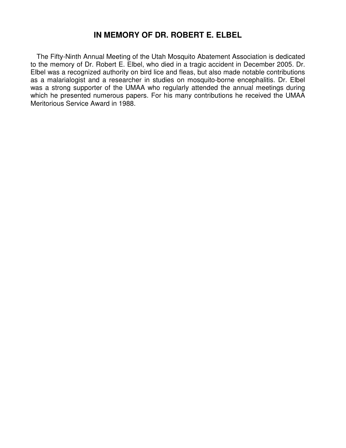# **IN MEMORY OF DR. ROBERT E. ELBEL**

The Fifty-Ninth Annual Meeting of the Utah Mosquito Abatement Association is dedicated to the memory of Dr. Robert E. Elbel, who died in a tragic accident in December 2005. Dr. Elbel was a recognized authority on bird lice and fleas, but also made notable contributions as a malarialogist and a researcher in studies on mosquito-borne encephalitis. Dr. Elbel was a strong supporter of the UMAA who regularly attended the annual meetings during which he presented numerous papers. For his many contributions he received the UMAA Meritorious Service Award in 1988.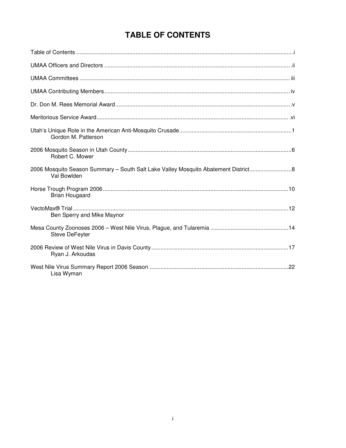# TABLE OF CONTENTS

| Gordon M. Patterson                                                                              |
|--------------------------------------------------------------------------------------------------|
| Robert C. Mower                                                                                  |
| 2006 Mosquito Season Summary - South Salt Lake Valley Mosquito Abatement District<br>Val Bowlden |
| <b>Brian Hougaard</b>                                                                            |
| Ben Sperry and Mike Maynor                                                                       |
| Steve DeFeyter                                                                                   |
| Ryan J. Arkoudas                                                                                 |
| Lisa Wyman                                                                                       |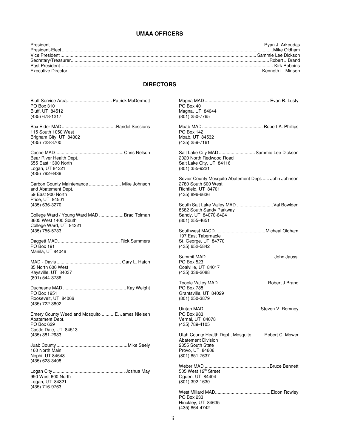# **UMAA OFFICERS**

# **DIRECTORS**

| PO Box 310<br>Bluff, UT 84512<br>(435) 678-1217                                                        | PO Box 40<br>Magna, UT 84044<br>(801) 250-7765                                                                     |  |
|--------------------------------------------------------------------------------------------------------|--------------------------------------------------------------------------------------------------------------------|--|
| 115 South 1050 West<br>Brigham City, UT 84302<br>(435) 723-3700                                        | <b>PO Box 142</b><br>Moab, UT 84532<br>(435) 259-7161                                                              |  |
| Bear River Health Dept.<br>655 East 1300 North<br>Logan, UT 84321<br>(435) 792-6439                    | Salt Lake City MAD  Sammie Lee Dickson<br>2020 North Redwood Road<br>Salt Lake City, UT 84116<br>(801) 355-9221    |  |
| Carbon County Maintenance  Mike Johnson<br>and Abatement Dept.<br>59 East 900 North<br>Price, UT 84501 | Sevier County Mosquito Abatement Dept John Johnson<br>2780 South 600 West<br>Richfield, UT 84701<br>(435) 896-6636 |  |
| (435) 636-3270<br>College Ward / Young Ward MAD Brad Tolman<br>3605 West 1400 South                    | South Salt Lake Valley MAD  Val Bowlden<br>8682 South Sandy Parkway<br>Sandy, UT 84070-6424<br>$(801)$ 255-4651    |  |
| College Ward, UT 84321<br>(435) 755-5733<br><b>PO Box 191</b>                                          | 197 East Tabernacle<br>St. George, UT 84770<br>(435) 652-5842                                                      |  |
| Manila, UT 84046                                                                                       |                                                                                                                    |  |
| 85 North 600 West<br>Kaysville, UT 84037<br>(801) 544-3736                                             | PO Box 523<br>Coalville, UT 84017<br>(435) 336-2088                                                                |  |
| PO Box 1951<br>Roosevelt, UT 84066<br>(435) 722-3802                                                   | <b>PO Box 788</b><br>Grantsville, UT 84029<br>(801) 250-3879                                                       |  |
| Emery County Weed and Mosquito E. James Nielsen<br>Abatement Dept.<br>PO Box 629                       | PO Box 983<br>Vernal, UT 84078<br>(435) 789-4105                                                                   |  |
| Castle Dale, UT 84513<br>(435) 381-2933                                                                | Utah County Health Dept., Mosquito  Robert C. Mower<br><b>Abatement Division</b>                                   |  |
| 160 North Main <b>National State Act 160 North Main</b><br>Nephi, UT 84648<br>(435) 623-3408           | 2855 South State<br>Provo, UT 84606<br>(801) 851-7637                                                              |  |
| 950 West 600 North<br>Logan, UT 84321<br>(435) 716-9763                                                | 505 West 12 <sup>th</sup> Street<br>Ogden, UT 84404<br>$(801)$ 392-1630                                            |  |
|                                                                                                        | PO Box 233<br>Hinckley, UT 84635<br>(435) 864-4742                                                                 |  |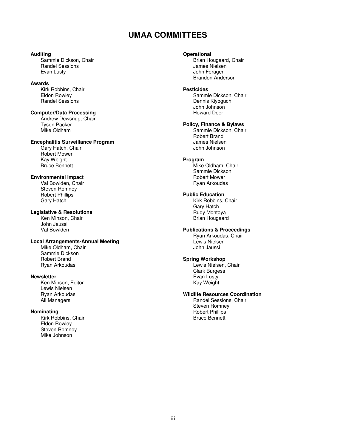# **UMAA COMMITTEES**

#### **Auditing**

 Sammie Dickson, Chair Randel Sessions Evan Lusty

#### **Awards**

 Kirk Robbins, Chair Eldon Rowley Randel Sessions

# **Computer/Data Processing**

Andrew Dewsnup, Chair Tyson Packer Mike Oldham

### **Encephalitis Surveillance Program**

 Gary Hatch, Chair Robert Mower Kay Weight Bruce Bennett

#### **Environmental Impact**

Val Bowlden, Chair Steven Romney Robert Phillips Gary Hatch

# **Legislative & Resolutions**

 Ken Minson, Chair John Jaussi Val Bowlden

# **Local Arrangements-Annual Meeting**

 Mike Oldham, Chair Sammie Dickson Robert Brand Ryan Arkoudas

### **Newsletter**

 Ken Minson, Editor Lewis Nielsen Ryan Arkoudas All Managers

# **Nominating**

 Kirk Robbins, Chair Eldon Rowley Steven Romney Mike Johnson

# **Operational**

Brian Hougaard, Chair James Nielsen John Feragen Brandon Anderson

#### **Pesticides**

 Sammie Dickson, Chair Dennis Kiyoguchi John Johnson Howard Deer

# **Policy, Finance & Bylaws**

 Sammie Dickson, Chair Robert Brand James Nielsen John Johnson

### **Program**

 Mike Oldham, Chair Sammie Dickson Robert Mower Ryan Arkoudas

### **Public Education**

 Kirk Robbins, Chair Gary Hatch Rudy Montoya Brian Hougaard

#### **Publications & Proceedings**

Ryan Arkoudas, Chair Lewis Nielsen John Jaussi

# **Spring Workshop**

Lewis Nielsen, Chair Clark Burgess Evan Lusty Kay Weight

# **Wildlife Resources Coordination**

 Randel Sessions, Chair Steven Romney Robert Phillips Bruce Bennett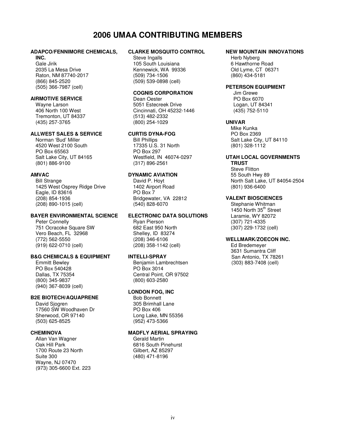# **2006 UMAA CONTRIBUTING MEMBERS**

# **ADAPCO/FENNIMORE CHEMICALS,**

# **INC.**

Gale Jirik 2035 La Mesa Drive Raton, NM 87740-2017 (866) 845-2520 (505) 366-7987 (cell)

#### **AIRMOTIVE SERVICE**

Wayne Larson 406 North 100 West Tremonton, UT 84337 (435) 257-3765

#### **ALLWEST SALES & SERVICE**

Norman 'Bud' Miller 4520 West 2100 South PO Box 65563 Salt Lake City, UT 84165 (801) 886-9100

#### **AMVAC**

Bill Strange 1425 West Osprey Ridge Drive Eagle, ID 83616 (208) 854-1936 (208) 890-1015 (cell)

#### **BAYER ENVIRONMENTAL SCIENCE**

Peter Connelly 751 Ocracoke Square SW Vero Beach, FL 32968 (772) 562-5550 (919) 622-0710 (cell)

#### **B&G CHEMICALS & EQUIPMENT**

Emmitt Bewley PO Box 540428 Dallas, TX 75354 (800) 345-9837 (940) 367-8039 (cell)

#### **B2E BIOTECH/AQUAPRENE**

David Siogren 17560 SW Woodhaven Dr Sherwood, OR 97140 (503) 625-8525

#### **CHEMINOVA**

Allan Van Wagner Oak Hill Park 1700 Route 23 North Suite 300 Wayne, NJ 07470 (973) 305-6600 Ext. 223

#### **CLARKE MOSQUITO CONTROL**

Steve Ingalls 105 South Louisiana Kennewick, WA 99336 (509) 734-1506 (509) 539-0898 (cell)

#### **COGNIS CORPORATION**

Dean Oester 5051 Estecreek Drive Cincinnati, OH 45232-1446 (513) 482-2332 (800) 254-1029

#### **CURTIS DYNA-FOG**

Bill Phillips 17335 U.S. 31 North PO Box 297 Westfield, IN 46074-0297 (317) 896-2561

#### **DYNAMIC AVIATION**

David P. Hoyt 1402 Airport Road PO Box 7 Bridgewater, VA 22812 (540) 828-6070

#### **ELECTRONIC DATA SOLUTIONS**

Ryan Pierson 682 East 950 North Shelley, ID 83274 (208) 346-6106 (208) 358-1142 (cell)

#### **INTELLI-SPRAY**

Benjamin Lambrechtsen PO Box 3014 Central Point, OR 97502 (800) 603-2580

#### **LONDON FOG, INC**

Bob Bonnett 305 Brimhall Lane PO Box 406 Long Lake, MN 55356 (952) 473-5366

# **MADFLY AERIAL SPRAYING**

Gerald Martin 6816 South Pinehurst Gilbert, AZ 85297 (480) 471-8196

#### **NEW MOUNTAIN INNOVATIONS**

Herb Nyberg 6 Hawthorne Road Old Lyme, CT 06371 (860) 434-5181

### **PETERSON EQUIPMENT**

Jim Grewe PO Box 6070 Logan, UT 84341 (435) 752-5110

#### **UNIVAR**

Mike Kunka PO Box 2369 Salt Lake City, UT 84110 (801) 328-1112

# **UTAH LOCAL GOVERNMENTS**

 **TRUST**  Steve Flitton 55 South Hwy 89 North Salt Lake, UT 84054-2504 (801) 936-6400

#### **VALENT BIOSCIENCES**

Stephanie Whitman 1450 North 35<sup>th</sup> Street Laramie, WY 82072 (307) 721-4335 (307) 229-1732 (cell)

#### **WELLMARK/ZOECON INC.**

Ed Bredemeyer 3631 Sumantra Cliff San Antonio, TX 78261 (303) 883-7408 (cell)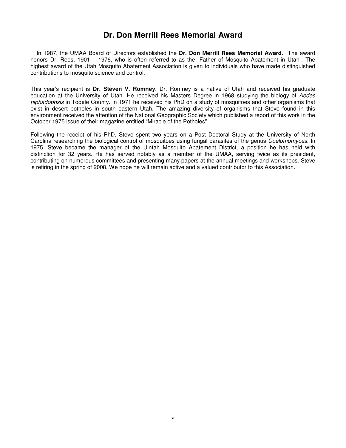# **Dr. Don Merrill Rees Memorial Award**

In 1987, the UMAA Board of Directors established the **Dr. Don Merrill Rees Memorial Award**. The award honors Dr. Rees, 1901 – 1976, who is often referred to as the "Father of Mosquito Abatement in Utah". The highest award of the Utah Mosquito Abatement Association is given to individuals who have made distinguished contributions to mosquito science and control.

This year's recipient is **Dr. Steven V. Romney**. Dr. Romney is a native of Utah and received his graduate education at the University of Utah. He received his Masters Degree in 1968 studying the biology of Aedes niphadophsis in Tooele County. In 1971 he received his PhD on a study of mosquitoes and other organisms that exist in desert potholes in south eastern Utah. The amazing diversity of organisms that Steve found in this environment received the attention of the National Geographic Society which published a report of this work in the October 1975 issue of their magazine entitled "Miracle of the Potholes".

Following the receipt of his PhD, Steve spent two years on a Post Doctoral Study at the University of North Carolina researching the biological control of mosquitoes using fungal parasites of the genus Coelomomyces. In 1975, Steve became the manager of the Uintah Mosquito Abatement District, a position he has held with distinction for 32 years. He has served notably as a member of the UMAA, serving twice as its president, contributing on numerous committees and presenting many papers at the annual meetings and workshops. Steve is retiring in the spring of 2008. We hope he will remain active and a valued contributor to this Association.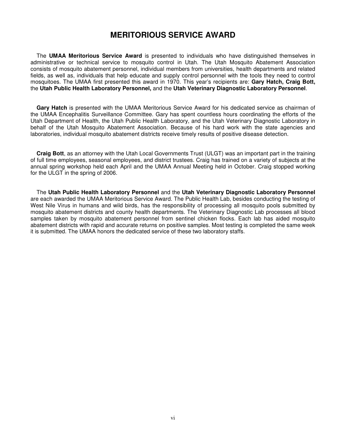# **MERITORIOUS SERVICE AWARD**

 The **UMAA Meritorious Service Award** is presented to individuals who have distinguished themselves in administrative or technical service to mosquito control in Utah. The Utah Mosquito Abatement Association consists of mosquito abatement personnel, individual members from universities, health departments and related fields, as well as, individuals that help educate and supply control personnel with the tools they need to control mosquitoes. The UMAA first presented this award in 1970. This year's recipients are: **Gary Hatch, Craig Bott,**  the **Utah Public Health Laboratory Personnel,** and the **Utah Veterinary Diagnostic Laboratory Personnel**.

**Gary Hatch** is presented with the UMAA Meritorious Service Award for his dedicated service as chairman of the UMAA Encephalitis Surveillance Committee. Gary has spent countless hours coordinating the efforts of the Utah Department of Health, the Utah Public Health Laboratory, and the Utah Veterinary Diagnostic Laboratory in behalf of the Utah Mosquito Abatement Association. Because of his hard work with the state agencies and laboratories, individual mosquito abatement districts receive timely results of positive disease detection.

**Craig Bott**, as an attorney with the Utah Local Governments Trust (ULGT) was an important part in the training of full time employees, seasonal employees, and district trustees. Craig has trained on a variety of subjects at the annual spring workshop held each April and the UMAA Annual Meeting held in October. Craig stopped working for the ULGT in the spring of 2006.

The **Utah Public Health Laboratory Personnel** and the **Utah Veterinary Diagnostic Laboratory Personnel** are each awarded the UMAA Meritorious Service Award. The Public Health Lab, besides conducting the testing of West Nile Virus in humans and wild birds, has the responsibility of processing all mosquito pools submitted by mosquito abatement districts and county health departments. The Veterinary Diagnostic Lab processes all blood samples taken by mosquito abatement personnel from sentinel chicken flocks. Each lab has aided mosquito abatement districts with rapid and accurate returns on positive samples. Most testing is completed the same week it is submitted. The UMAA honors the dedicated service of these two laboratory staffs.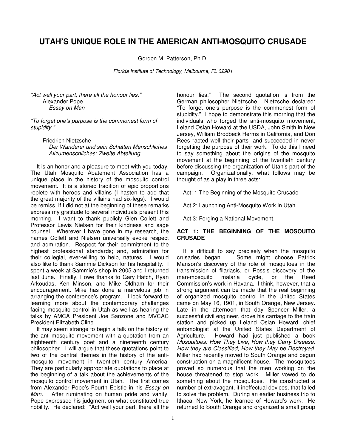# **UTAH'S UNIQUE ROLE IN THE AMERICAN ANTI-MOSQUITO CRUSADE**

Gordon M. Patterson, Ph.D.

Florida Institute of Technology, Melbourne, FL 32901

"Act well your part, there all the honour lies." Alexander Pope Essay on Man

"To forget one's purpose is the commonest form of stupidity."

Friedrich Nietzsche Der Wanderer und sein Schatten Menschliches Allzumenschliches: Zweite Abteilung

It is an honor and a pleasure to meet with you today. The Utah Mosquito Abatement Association has a unique place in the history of the mosquito control movement. It is a storied tradition of epic proportions replete with heroes and villains (I hasten to add that the great majority of the villains had six-legs). I would be remiss, if I did not at the beginning of these remarks express my gratitude to several individuals present this morning. I want to thank publicly Glen Collett and Professor Lewis Nielsen for their kindness and sage counsel. Wherever I have gone in my research, the names Collett and Nielsen universally evoke respect and admiration. Respect for their commitment to the highest professional standards; and, admiration for their collegial, ever-willing to help, natures. I would also like to thank Sammie Dickson for his hospitality. I spent a week at Sammie's shop in 2005 and I returned last June. Finally, I owe thanks to Gary Hatch, Ryan Arkoudas, Ken Minson, and Mike Oldham for their encouragement. Mike has done a marvelous job in arranging the conference's program. I look forward to learning more about the contemporary challenges facing mosquito control in Utah as well as hearing the talks by AMCA President Joe Sanzone and MVCAC President Elizabeth Cline.

 It may seem strange to begin a talk on the history of the anti-mosquito movement with a quotation from an eighteenth century poet and a nineteenth century philosopher. I will argue that these quotations point to two of the central themes in the history of the antimosquito movement in twentieth century America. They are particularly appropriate quotations to place at the beginning of a talk about the achievements of the mosquito control movement in Utah. The first comes from Alexander Pope's Fourth Epistle in his Essay on Man. After ruminating on human pride and vanity, Pope expressed his judgment on what constituted true nobility. He declared: "Act well your part, there all the honour lies." The second quotation is from the German philosopher Nietzsche. Nietzsche declared: "To forget one's purpose is the commonest form of stupidity." I hope to demonstrate this morning that the individuals who forged the anti-mosquito movement. Leland Osian Howard at the USDA, John Smith in New Jersey, William Brodbeck Herms in California, and Don Rees "acted well their parts" and succeeded in never forgetting the purpose of their work. To do this I need to say something about the origins of the mosquito movement at the beginning of the twentieth century before discussing the organization of Utah's part of the campaign. Organizationally, what follows may be thought of as a play in three acts:

Act: 1 The Beginning of the Mosquito Crusade

Act 2: Launching Anti-Mosquito Work in Utah

Act 3: Forging a National Movement.

# **ACT 1: THE BEGINNING OF THE MOSQUITO CRUSADE**

 It is difficult to say precisely when the mosquito crusades began. Some might choose Patrick Manson's discovery of the role of mosquitoes in the transmission of filariasis, or Ross's discovery of the man-mosquito malaria cycle, or the Reed Commission's work in Havana. I think, however, that a strong argument can be made that the real beginning of organized mosquito control in the United States came on May 16, 1901, in South Orange, New Jersey. Late in the afternoon that day Spencer Miller, a successful civil engineer, drove his carriage to the train station and picked up Leland Osian Howard, chief entomologist at the United States Department of Agriculture. Howard had just published a book Mosquitoes: How They Live; How they Carry Disease: How they are Classified; How they May be Destroyed. Miller had recently moved to South Orange and begun construction on a magnificent house. The mosquitoes proved so numerous that the men working on the house threatened to stop work. Miller vowed to do something about the mosquitoes. He constructed a number of extravagant, if ineffectual devices, that failed to solve the problem. During an earlier business trip to Ithaca, New York, he learned of Howard's work. He returned to South Orange and organized a small group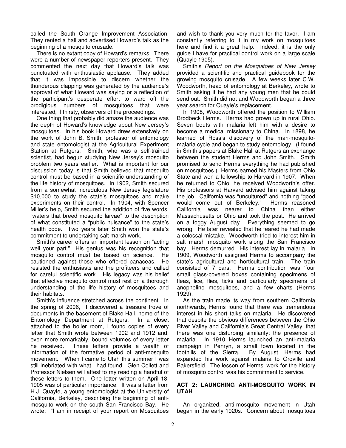called the South Orange Improvement Association. They rented a hall and advertised Howard's talk as the beginning of a mosquito crusade.

 There is no extant copy of Howard's remarks. There were a number of newspaper reporters present. They commented the next day that Howard's talk was punctuated with enthusiastic applause. They added that it was impossible to discern whether the thunderous clapping was generated by the audience's approval of what Howard was saying or a reflection of the participant's desperate effort to ward off the prodigious numbers of mosquitoes that were interested, if thirsty, observers of the proceedings.

 One thing that probably did amaze the audience was the depth of Howard's knowledge about New Jersey's mosquitoes. In his book Howard drew extensively on the work of John B. Smith, professor of entomology and state entomologist at the Agricultural Experiment Station at Rutgers. Smith, who was a self-trained scientist, had begun studying New Jersey's mosquito problem two years earlier. What is important for our discussion today is that Smith believed that mosquito control must be based in a scientific understanding of the life history of mosquitoes. In 1902, Smith secured from a somewhat incredulous New Jersey legislature \$10,000 to study the state's mosquitoes and make experiments on their control. In 1904, with Spencer Miller's help, Smith secured the addition of five words, "waters that breed mosquito larvae" to the description of what constituted a "public nuisance" to the state's health code. Two years later Smith won the state's commitment to undertaking salt marsh work.

 Smith's career offers an important lesson on "acting well your part." His genius was his recognition that mosquito control must be based on science. He cautioned against those who offered panaceas. He resisted the enthusiasts and the profiteers and called for careful scientific work. His legacy was his belief that effective mosquito control must rest on a thorough understanding of the life history of mosquitoes and their habitats.

 Smith's influence stretched across the continent. In the spring of 2006, I discovered a treasure trove of documents in the basement of Blake Hall, home of the Entomology Department at Rutgers. In a closet attached to the boiler room, I found copies of every letter that Smith wrote between 1902 and 1912 and, even more remarkably, bound volumes of every letter he received. These letters provide a wealth of information of the formative period of anti-mosquito movement. When I came to Utah this summer I was still inebriated with what I had found. Glen Collett and Professor Nielsen will attest to my reading a handful of these letters to them. One letter written on April 18, 1905 was of particular importance. It was a letter from H.J. Quayle, a young entomologist at the University of California, Berkeley, describing the beginning of antimosquito work on the south San Francisco Bay. He wrote: "I am in receipt of your report on Mosquitoes

and wish to thank you very much for the favor. I am constantly referring to it in my work on mosquitoes here and find it a great help. Indeed, it is the only guide I have for practical control work on a large scale (Quayle 1905).

Smith's Report on the Mosquitoes of New Jersey provided a scientific and practical guidebook for the growing mosquito crusade. A few weeks later C.W. Woodworth, head of entomology at Berkeley, wrote to Smith asking if he had any young men that he could send out. Smith did not and Woodworth began a three year search for Quayle's replacement.

 In 1908, Woodworth offered the position to William Brodbeck Herms. Herms had grown up in rural Ohio. Seven bouts with malaria left him with a desire to become a medical missionary to China. In 1898, he learned of Ross's discovery of the man-mosquitomalaria cycle and began to study entomology. (I found in Smith's papers at Blake Hall at Rutgers an exchange between the student Herms and John Smith. Smith promised to send Herms everything he had published on mosquitoes.) Herms earned his Masters from Ohio State and won a fellowship to Harvard in 1907. When he returned to Ohio, he received Woodworth's offer. His professors at Harvard advised him against taking the job. California was "uncultured" and nothing "good would come out of Berkeley." Herms reasoned<br>California was nearer to China than either California was nearer to Massachusetts or Ohio and took the post. He arrived on a foggy August day. Everything seemed to go wrong. He later revealed that he feared he had made a colossal mistake. Woodworth tried to interest him in salt marsh mosquito work along the San Francisco bay. Herms demurred. His interest lay in malaria. In 1909, Woodworth assigned Herms to accompany the state's agricultural and horticultural train. The train consisted of 7 cars. Herms contribution was "four small glass-covered boxes containing specimens of fleas, lice, flies, ticks and particularly specimens of anopheline mosquitoes, and a few charts (Herms 1929).

 As the train made its way from southern California northwards, Herms found that there was tremendous interest in his short talks on malaria. He discovered that despite the obvious differences between the Ohio River Valley and California's Great Central Valley, that there was one disturbing similarity: the presence of malaria. In 1910 Herms launched an anti-malaria campaign in Penryn, a small town located in the foothills of the Sierra. By August, Herms had expanded his work against malaria to Oroville and Bakersfield. The lesson of Herms' work for the history of mosquito control was his commitment to service.

# **ACT 2: LAUNCHING ANTI-MOSQUITO WORK IN UTAH**

 An organized, anti-mosquito movement in Utah began in the early 1920s. Concern about mosquitoes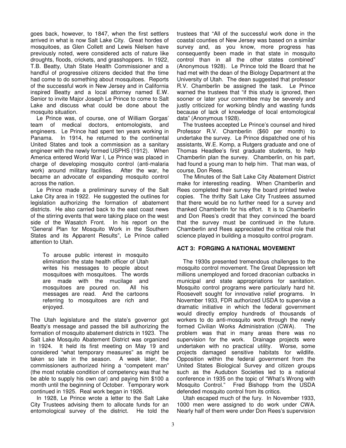goes back, however, to 1847, when the first settlers arrived in what is now Salt Lake City. Great hordes of mosquitoes, as Glen Collett and Lewis Nielsen have previously noted, were considered acts of nature like droughts, floods, crickets, and grasshoppers. In 1922, T.B. Beatty, Utah State Health Commissioner and a handful of progressive citizens decided that the time had come to do something about mosquitoes. Reports of the successful work in New Jersey and in California inspired Beatty and a local attorney named E.W. Senior to invite Major Joseph Le Prince to come to Salt Lake and discuss what could be done about the mosquito situation.

 Le Prince was, of course, one of William Gorgas' team of medical doctors, entomologists, and engineers. Le Prince had spent ten years working in Panama. In 1914, he returned to the continental United States and took a commission as a sanitary engineer with the newly formed USPHS (1912). When America entered World War I, Le Prince was placed in charge of developing mosquito control (anti-malaria work) around military facilities. After the war, he became an advocate of expanding mosquito control across the nation.

 Le Prince made a preliminary survey of the Salt Lake City area in 1922. He suggested the outlines for legislation authorizing the formation of abatement districts. He also carried back to the east coast news of the stirring events that were taking place on the west side of the Wasatch Front. In his report on the "General Plan for Mosquito Work in the Southern States and its Apparent Results", Le Prince called attention to Utah.

To arouse public interest in mosquito elimination the state health officer of Utah writes his messages to people about mosquitoes with mosquitoes. The words are made with the mucilage and mosquitoes are poured on. All his messages are read. And the cartoons referring to mosquitoes are rich and enjoyed.

The Utah legislature and the state's governor got Beatty's message and passed the bill authorizing the formation of mosquito abatement districts in 1923. The Salt Lake Mosquito Abatement District was organized in 1924. It held its first meeting on May 19 and considered "what temporary measures" as might be taken so late in the season. A week later, the commissioners authorized hiring a "competent man" (the most notable condition of competency was that he be able to supply his own car) and paying him \$100 a month until the beginning of October. Temporary work continued in 1925. Real work began in 1926.

 In 1928, Le Prince wrote a letter to the Salt Lake City Trustees advising them to allocate funds for an entomological survey of the district. He told the trustees that "All of the successful work done in the coastal counties of New Jersey was based on a similar survey and, as you know, more progress has consequently been made in that state in mosquito control than in all the other states combined" (Anonymous 1928). Le Prince told the Board that he had met with the dean of the Biology Department at the University of Utah. The dean suggested that professor R.V. Chamberlin be assigned the task. Le Prince warned the trustees that "if this study is ignored, then sooner or later your committee may be severely and justly criticized for working blindly and wasting funds because of lack of knowledge of local entomological data" (Anonymous 1928).

The trustees accepted Le Prince's counsel and hired Professor R.V. Chamberlin (\$60 per month) to undertake the survey. Le Prince dispatched one of his assistants, W.E. Komp, a Rutgers graduate and one of Thomas Headlee's first graduate students, to help Chamberlin plan the survey. Chamberlin, on his part, had found a young man to help him. That man was, of course, Don Rees.

 The Minutes of the Salt Lake City Abatement District make for interesting reading. When Chamberlin and Rees completed their survey the board printed twelve copies. The thrifty Salt Lake City Trustees assumed that there would be no further need for a survey and thanked Chamberlin for his effort. It is to Chamberlin and Don Rees's credit that they convinced the board that the survey must be continued in the future. Chamberlin and Rees appreciated the critical role that science played in building a mosquito control program.

# **ACT 3: FORGING A NATIONAL MOVEMENT**

 The 1930s presented tremendous challenges to the mosquito control movement. The Great Depression left millions unemployed and forced draconian cutbacks in municipal and state appropriations for sanitation. Mosquito control programs were particularly hard hit. Roosevelt sought for innovative relief programs. In November 1933, FDR authorized USDA to supervise a dramatic initiative in which the federal government would directly employ hundreds of thousands of workers to do anti-mosquito work through the newly formed Civilian Works Administration (CWA). The problem was that in many areas there was no supervision for the work. Drainage projects were undertaken with no practical utility. Worse, some projects damaged sensitive habitats for wildlife. Opposition within the federal government from the United States Biological Survey and citizen groups such as the Audubon Societies led to a national conference in 1935 on the topic of "What's Wrong with Mosquito Control." Fred Bishopp from the USDA defended mosquito control from its critics.

 Utah escaped much of the fury. In November 1933, 1000 men were assigned to do work under CWA. Nearly half of them were under Don Rees's supervision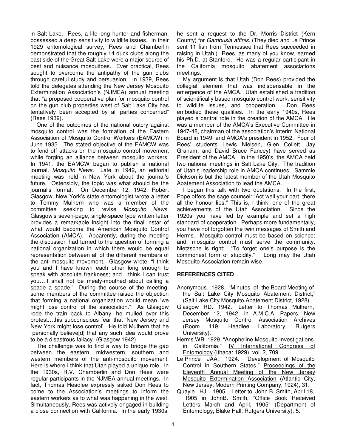in Salt Lake. Rees, a life-long hunter and fisherman, possessed a deep sensitivity to wildlife issues. In their 1929 entomological survey, Rees and Chamberlin demonstrated that the roughly 14 duck clubs along the east side of the Great Salt Lake were a major source of pest and nuisance mosquitoes. Ever practical, Rees sought to overcome the antipathy of the gun clubs through careful study and persuasion. In 1939, Rees told the delegates attending the New Jersey Mosquito Extermination Association's (NJMEA) annual meeting that "a proposed cooperative plan for mosquito control on the gun club properties west of Salt Lake City has tentatively been accepted by all parties concerned" (Rees 1939).

 One of the outcomes of the national outcry against mosquito control was the formation of the Eastern Association of Mosquito Control Workers (EAMCW) in June 1935. The stated objective of the EAMCW was to fend off attacks on the mosquito control movement while forging an alliance between mosquito workers. In 1941, the EAMCW began to publish a national journal, Mosquito News. Late in 1942, an editorial meeting was held in New York about the journal's future. Ostensibly, the topic was what should be the journal's format. On December 12, 1942, Robert Glasgow, New York's state entomologist wrote a letter to Tommy Mulhern who was a member of the committee seeking to revise Mosquito News. Glasgow's seven-page, single-space type written letter provides a remarkable insight into the final instar of what would become the American Mosquito Control Association (AMCA). Apparently, during the meeting the discussion had turned to the question of forming a national organization in which there would be equal representation between all of the different members of the anti-mosquito movement. Glasgow wrote, "I think you and I have known each other long enough to speak with absolute frankness; and I think I can trust you….I shall not be mealy-mouthed about calling a spade a spade." During the course of the meeting, some members of the committee raised the objection that forming a national organization would mean "we might lose control of the association." As Glasgow rode the train back to Albany, he mulled over this protest…this subconscious fear that 'New Jersey and New York might lose control'. He told Mulhern that he "personally believe[d] that any such idea would prove to be a disastrous fallacy" (Glasgow 1942).

 The challenge was to find a way to bridge the gap between the eastern, midwestern, southern and western members of the anti-mosquito movement. Here is where I think that Utah played a unique role. In the 1930s, R.V. Chamberlin and Don Rees were regular participants in the NJMEA annual meetings. In fact, Thomas Headlee expressly asked Don Rees to come to the Association's meetings to inform the eastern workers as to what was happening in the west. Simultaneously, Rees was actively engaged in building a close connection with California. In the early 1930s, he sent a request to the Dr. Morris District (Kern County) for Gambusia affinis. (They died and Le Prince sent 11 fish from Tennessee that Rees succeeded in raising in Utah.) Rees, as many of you know, earned his Ph.D. at Stanford. He was a regular participant in the California mosquito abatement associations meetings.

 My argument is that Utah (Don Rees) provided the collegial element that was indispensable in the emergence of the AMCA. Utah established a tradition of scientifically based mosquito control work, sensitivity to wildlife issues, and cooperation. Don Rees embodied these qualities. In the early 1940s, Rees played a central role in the creation of the AMCA. He was a member of the AMCA's Executive Committee in 1947-48, chairman of the association's Interim National Board in 1949, and AMCA's president in 1952. Four of Rees' students Lewis Nielsen, Glen Collett, Jay Graham, and David Bruce Fancey) have served as President of the AMCA. In the 1950's, the AMCA held two national meetings in Salt Lake City. The tradition of Utah's leadership role in AMCA continues. Sammie Dickson is but the latest member of the Utah Mosquito Abatement Association to lead the AMCA.

 I began this talk with two quotations. In the first, Pope offers the sage counsel: "Act well your part, there all the honour lies." This is, I think, one of the great achievements of the Utah Association. Since the 1920s you have led by example and set a high standard of cooperation. Perhaps more fundamentally, you have not forgotten the twin messages of Smith and Herms. Mosquito control must be based on science; and, mosquito control must serve the community. Nietzsche is right: "To forget one's purpose is the commonest form of stupidity." Long may the Utah Mosquito Association remain wise.

# **REFERENCES CITED**

- Anonymous. 1928. "Minutes of the Board Meeting of the Salt Lake City Mosquito Abatement District," (Salt Lake City Mosquito Abatement District, 1928).
- Glasgow RD. 1942. Letter to Thomas Mulhern, December 12, 1942, in A.M.C.A. Papers, New Jersey Mosquito Control Association Archives (Room 119, Headlee Laboratory, Rutgers University).
- Herms WB. 1929. "Anopheline Mosquito Investigations in California," IV International Congress of Entomology (Ithaca: 1929), vol. 2, 709.
- Le Prince JAA. 1924. "Development of Mosquito Control in Southern States," Proceedings of the Eleventh Annual Meeting of the New Jersey Mosquito Extermination Association (Atlantic City, New Jersey: Modern Printing Company, 1924), 31.
- Quayle HJ. 1905. Letter to John B. Smith, April 18, 1905 in JohnB. Smith, "Office Book Received Letters March and April, 1905" (Department of Entomology, Blake Hall, Rutgers University), 5.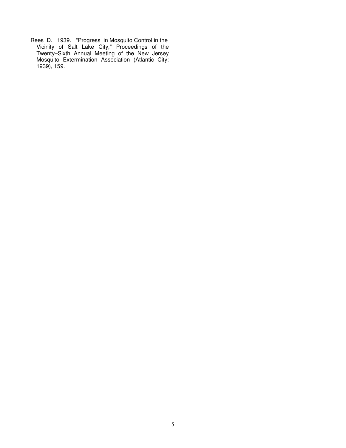Rees D. 1939. "Progress in Mosquito Control in the Vicinity of Salt Lake City," Proceedings of the Twenty–Sixth Annual Meeting of the New Jersey Mosquito Extermination Association (Atlantic City: 1939), 159.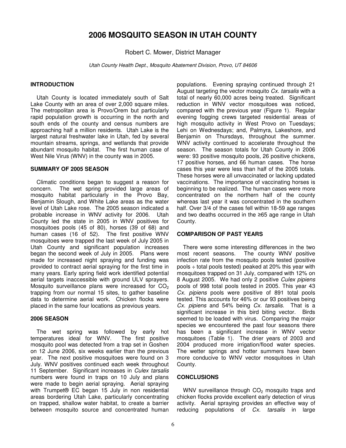# **2006 MOSQUITO SEASON IN UTAH COUNTY**

Robert C. Mower, District Manager

Utah County Health Dept., Mosquito Abatement Division, Provo, UT 84606

# **INTRODUCTION**

Utah County is located immediately south of Salt Lake County with an area of over 2,000 square miles. The metropolitan area is Provo/Orem but particularly rapid population growth is occurring in the north and south ends of the county and census numbers are approaching half a million residents. Utah Lake is the largest natural freshwater lake in Utah, fed by several mountain streams, springs, and wetlands that provide abundant mosquito habitat. The first human case of West Nile Virus (WNV) in the county was in 2005.

### **SUMMARY OF 2005 SEASON**

Climatic conditions began to suggest a reason for concern. The wet spring provided large areas of mosquito habitat particularly in the Provo Bay, Benjamin Slough, and White Lake areas as the water level of Utah Lake rose. The 2005 season indicated a probable increase in WNV activity for 2006. Utah County led the state in 2005 in WNV positives for mosquitoes pools (45 of 80), horses (39 of 68) and human cases (16 of 52). The first positive WNV mosquitoes were trapped the last week of July 2005 in Utah County and significant population increases began the second week of July in 2005. Plans were made for increased night spraying and funding was provided to contract aerial spraying for the first time in many years. Early spring field work identified potential aerial targets inaccessible with ground ULV sprayers. Mosquito surveillance plans were increased for  $CO<sub>2</sub>$ trapping from our normal 15 sites, to gather baseline data to determine aerial work. Chicken flocks were placed in the same four locations as previous years.

# **2006 SEASON**

The wet spring was followed by early hot temperatures ideal for WNV. The first positive mosquito pool was detected from a trap set in Goshen on 12 June 2006, six weeks earlier than the previous year. The next positive mosquitoes were found on 3 July. WNV positives continued each week throughout 11 September. Significant increases in Culex tarsalis numbers were found in traps on 10 July and plans were made to begin aerial spraying. Aerial spraying with Trumpet® EC began 15 July in non residential areas bordering Utah Lake, particularly concentrating on trapped, shallow water habitat, to create a barrier between mosquito source and concentrated human populations. Evening spraying continued through 21 August targeting the vector mosquito Cx. tarsalis with a total of nearly 60,000 acres being treated. Significant reduction in WNV vector mosquitoes was noticed, compared with the previous year (Figure 1). Regular evening fogging crews targeted residential areas of high mosquito activity in West Provo on Tuesdays; Lehi on Wednesdays; and, Palmyra, Lakeshore, and Benjamin on Thursdays, throughout the summer. WNV activity continued to accelerate throughout the season. The season totals for Utah County in 2006 were: 93 positive mosquito pools, 26 positive chickens, 17 positive horses, and 66 human cases. The horse cases this year were less than half of the 2005 totals. These horses were all unvaccinated or lacking updated vaccinations. The importance of vaccinating horses is beginning to be realized. The human cases were more concentrated on the northern half of the county whereas last year it was concentrated in the southern half. Over 3/4 of the cases fell within 18-59 age ranges and two deaths occurred in the ≥65 age range in Utah County.

# **COMPARISON OF PAST YEARS**

There were some interesting differences in the two most recent seasons. The county WNV positive infection rate from the mosquito pools tested (positive pools ÷ total pools tested) peaked at 20% this year with mosquitoes trapped on 31 July, compared with 12% on 8 August 2005. We had only 2 positive Culex pipiens pools of 998 total pools tested in 2005. This year 43 Cx. pipiens pools were positive of 891 total pools tested. This accounts for 46% or our 93 positives being Cx. pipiens and 54% being Cx. tarsalis. That is a significant increase in this bird biting vector. Birds seemed to be loaded with virus. Comparing the major species we encountered the past four seasons there has been a significant increase in WNV vector mosquitoes (Table 1). The drier years of 2003 and 2004 produced more irrigation/flood water species. The wetter springs and hotter summers have been more conducive to WNV vector mosquitoes in Utah County.

# **CONCLUSIONS**

WNV surveillance through CO<sub>2</sub> mosquito traps and chicken flocks provide excellent early detection of virus activity. Aerial spraying provides an effective way of reducing populations of Cx. tarsalis in large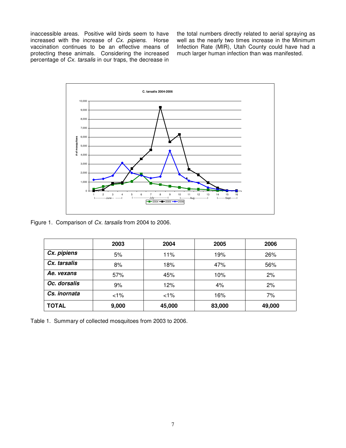inaccessible areas. Positive wild birds seem to have increased with the increase of Cx. pipiens. Horse vaccination continues to be an effective means of protecting these animals. Considering the increased percentage of Cx. tarsalis in our traps, the decrease in the total numbers directly related to aerial spraying as well as the nearly two times increase in the Minimum Infection Rate (MIR), Utah County could have had a much larger human infection than was manifested.



Figure 1. Comparison of Cx. tarsalis from 2004 to 2006.

|              | 2003  | 2004   | 2005   | 2006   |
|--------------|-------|--------|--------|--------|
| Cx. pipiens  | 5%    | 11%    | 19%    | 26%    |
| Cx. tarsalis | 8%    | 18%    | 47%    | 56%    |
| Ae. vexans   | 57%   | 45%    | 10%    | 2%     |
| Oc. dorsalis | 9%    | 12%    | 4%     | 2%     |
| Cs. inornata | $1\%$ | $1\%$  | 16%    | 7%     |
| <b>TOTAL</b> | 9,000 | 45,000 | 83,000 | 49,000 |

Table 1. Summary of collected mosquitoes from 2003 to 2006.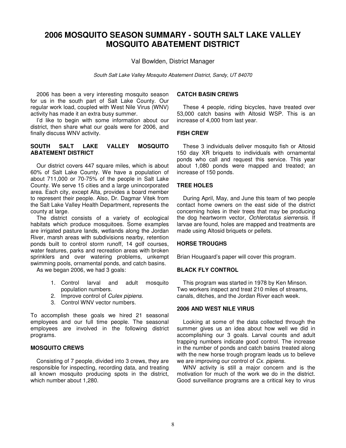# **2006 MOSQUITO SEASON SUMMARY - SOUTH SALT LAKE VALLEY MOSQUITO ABATEMENT DISTRICT**

Val Bowlden, District Manager

South Salt Lake Valley Mosquito Abatement District, Sandy, UT 84070

2006 has been a very interesting mosquito season for us in the south part of Salt Lake County. Our regular work load, coupled with West Nile Virus (WNV) activity has made it an extra busy summer.

I'd like to begin with some information about our district, then share what our goals were for 2006, and finally discuss WNV activity.

# **SOUTH SALT LAKE VALLEY MOSQUITO ABATEMENT DISTRICT**

Our district covers 447 square miles, which is about 60% of Salt Lake County. We have a population of about 711,000 or 70-75% of the people in Salt Lake County. We serve 15 cities and a large unincorporated area. Each city, except Alta, provides a board member to represent their people. Also, Dr. Dagmar Vitek from the Salt Lake Valley Health Department, represents the county at large.

The district consists of a variety of ecological habitats which produce mosquitoes. Some examples are irrigated pasture lands, wetlands along the Jordan River, marsh areas with subdivisions nearby, retention ponds built to control storm runoff, 14 golf courses, water features, parks and recreation areas with broken sprinklers and over watering problems, unkempt swimming pools, ornamental ponds, and catch basins.

As we began 2006, we had 3 goals:

- 1. Control larval and adult mosquito population numbers.
- 2. Improve control of Culex pipiens.
- 3. Control WNV vector numbers.

To accomplish these goals we hired 21 seasonal employees and our full time people. The seasonal employees are involved in the following district programs.

### **MOSQUITO CREWS**

Consisting of 7 people, divided into 3 crews, they are responsible for inspecting, recording data, and treating all known mosquito producing spots in the district, which number about 1,280.

### **CATCH BASIN CREWS**

These 4 people, riding bicycles, have treated over 53,000 catch basins with Altosid WSP. This is an increase of 4,000 from last year.

#### **FISH CREW**

These 3 individuals deliver mosquito fish or Altosid 150 day XR briquets to individuals with ornamental ponds who call and request this service. This year about 1,080 ponds were mapped and treated; an increase of 150 ponds.

### **TREE HOLES**

During April, May, and June this team of two people contact home owners on the east side of the district concerning holes in their trees that may be producing the dog heartworm vector, Ochlerotatus sierrensis. If larvae are found, holes are mapped and treatments are made using Altosid briquets or pellets.

#### **HORSE TROUGHS**

Brian Hougaard's paper will cover this program.

# **BLACK FLY CONTROL**

This program was started in 1978 by Ken Minson. Two workers inspect and treat 210 miles of streams, canals, ditches, and the Jordan River each week.

#### **2006 AND WEST NILE VIRUS**

Looking at some of the data collected through the summer gives us an idea about how well we did in accomplishing our 3 goals. Larval counts and adult trapping numbers indicate good control. The increase in the number of ponds and catch basins treated along with the new horse trough program leads us to believe we are improving our control of Cx. pipiens.

WNV activity is still a major concern and is the motivation for much of the work we do in the district. Good surveillance programs are a critical key to virus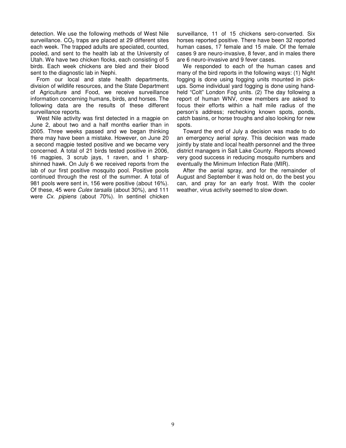detection. We use the following methods of West Nile surveillance.  $CO<sub>2</sub>$  traps are placed at 29 different sites each week. The trapped adults are speciated, counted, pooled, and sent to the health lab at the University of Utah. We have two chicken flocks, each consisting of 5 birds. Each week chickens are bled and their blood sent to the diagnostic lab in Nephi.

From our local and state health departments, division of wildlife resources, and the State Department of Agriculture and Food, we receive surveillance information concerning humans, birds, and horses. The following data are the results of these different surveillance reports.

West Nile activity was first detected in a magpie on June 2, about two and a half months earlier than in 2005. Three weeks passed and we began thinking there may have been a mistake. However, on June 20 a second magpie tested positive and we became very concerned. A total of 21 birds tested positive in 2006, 16 magpies, 3 scrub jays, 1 raven, and 1 sharpshinned hawk. On July 6 we received reports from the lab of our first positive mosquito pool. Positive pools continued through the rest of the summer. A total of 981 pools were sent in, 156 were positive (about 16%). Of these, 45 were Culex tarsalis (about 30%), and 111 were Cx. pipiens (about 70%). In sentinel chicken surveillance, 11 of 15 chickens sero-converted. Six horses reported positive. There have been 32 reported human cases, 17 female and 15 male. Of the female cases 9 are neuro-invasive, 8 fever, and in males there are 6 neuro-invasive and 9 fever cases.

We responded to each of the human cases and many of the bird reports in the following ways: (1) Night fogging is done using fogging units mounted in pickups. Some individual yard fogging is done using handheld "Colt" London Fog units. (2) The day following a report of human WNV, crew members are asked to focus their efforts within a half mile radius of the person's address; rechecking known spots, ponds, catch basins, or horse troughs and also looking for new spots.

Toward the end of July a decision was made to do an emergency aerial spray. This decision was made jointly by state and local health personnel and the three district managers in Salt Lake County. Reports showed very good success in reducing mosquito numbers and eventually the Minimum Infection Rate (MIR).

After the aerial spray, and for the remainder of August and September it was hold on, do the best you can, and pray for an early frost. With the cooler weather, virus activity seemed to slow down.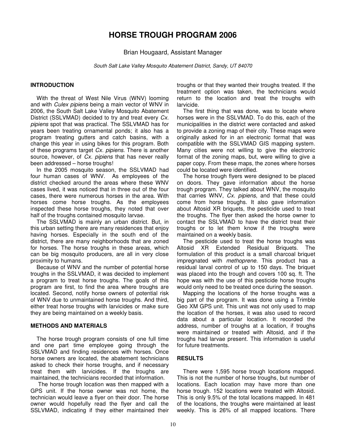# **HORSE TROUGH PROGRAM 2006**

Brian Hougaard, Assistant Manager

South Salt Lake Valley Mosquito Abatement District, Sandy, UT 84070

#### **INTRODUCTION**

With the threat of West Nile Virus (WNV) looming and with Culex pipiens being a main vector of WNV in 2006, the South Salt Lake Valley Mosquito Abatement District (SSLVMAD) decided to try and treat every Cx. pipiens spot that was practical. The SSLVMAD has for years been treating ornamental ponds; it also has a program treating gutters and catch basins, with a change this year in using bikes for this program. Both of these programs target Cx. pipiens. There is another source, however, of Cx. pipiens that has never really been addressed – horse troughs!

In the 2005 mosquito season, the SSLVMAD had four human cases of WNV. As employees of the district checked around the areas where these WNV cases lived, it was noticed that in three out of the four cases, there were numerous horses in the area. With horses come horse troughs. As the employees inspected these horse troughs, they noted that over half of the troughs contained mosquito larvae.

The SSLVMAD is mainly an urban district. But, in this urban setting there are many residences that enjoy having horses. Especially in the south end of the district, there are many neighborhoods that are zoned for horses. The horse troughs in these areas, which can be big mosquito producers, are all in very close proximity to humans.

Because of WNV and the number of potential horse troughs in the SSLVMAD, it was decided to implement a program to treat horse troughs. The goals of this program are first, to find the area where troughs are located. Second, notify horse owners of potential risk of WNV due to unmaintained horse troughs. And third, either treat horse troughs with larvicides or make sure they are being maintained on a weekly basis.

#### **METHODS AND MATERIALS**

The horse trough program consists of one full time and one part time employee going through the SSLVMAD and finding residences with horses. Once horse owners are located, the abatement technicians asked to check their horse troughs, and if necessary treat them with larvicides. If the troughs are maintained, the technicians recorded that information.

 The horse trough location was then mapped with a GPS unit. If the horse owner was not home, the technician would leave a flyer on their door. The horse owner would hopefully read the flyer and call the SSLVMAD, indicating if they either maintained their

troughs or that they wanted their troughs treated. If the treatment option was taken, the technicians would return to the location and treat the troughs with larvicide.

The first thing that was done, was to locate where horses were in the SSLVMAD. To do this, each of the municipalities in the district were contacted and asked to provide a zoning map of their city. These maps were originally asked for in an electronic format that was compatible with the SSLVMAD GIS mapping system. Many cities were not willing to give the electronic format of the zoning maps, but, were willing to give a paper copy. From these maps, the zones where horses could be located were identified.

The horse trough flyers were designed to be placed on doors. They gave information about the horse trough program. They talked about WNV, the mosquito that carries WNV, Cx. pipiens, and that these could come from horse troughs. It also gave information about Altosid XR briquets, the pesticide used to treat the troughs. The flyer then asked the horse owner to contact the SSLVMAD to have the district treat their troughs or to let them know if the troughs were maintained on a weekly basis.

The pesticide used to treat the horse troughs was Altosid XR Extended Residual Briquets. The formulation of this product is a small charcoal briquet impregnated with *methoprene*. This product has a residual larval control of up to 150 days. The briquet was placed into the trough and covers 100 sq. ft. The hope was with the use of this pesticide horse troughs would only need to be treated once during the season.

Mapping the locations of the horse troughs was a big part of the program. It was done using a Trimble Geo XM GPS unit. This unit was not only used to map the location of the horses, it was also used to record data about a particular location. It recorded the address, number of troughs at a location, if troughs were maintained or treated with Altosid, and if the troughs had larvae present. This information is useful for future treatments.

#### **RESULTS**

There were 1,595 horse trough locations mapped. This is not the number of horse troughs, but number of locations. Each location may have more than one horse trough. 152 locations were treated with Altosid. This is only 9.5% of the total locations mapped. In 481 of the locations, the troughs were maintained at least weekly. This is 26% of all mapped locations. There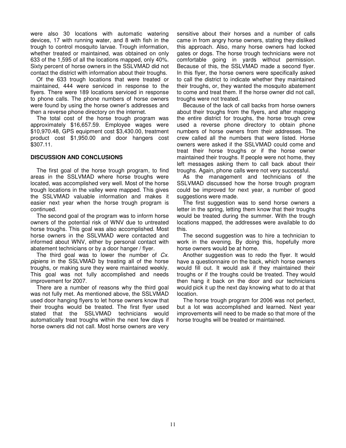were also 30 locations with automatic watering devices, 17 with running water, and 8 with fish in the trough to control mosquito larvae. Trough information, whether treated or maintained, was obtained on only 633 of the 1,595 of all the locations mapped, only 40%. Sixty percent of horse owners in the SSLVMAD did not contact the district with information about their troughs.

Of the 633 trough locations that were treated or maintained, 444 were serviced in response to the flyers. There were 189 locations serviced in response to phone calls. The phone numbers of horse owners were found by using the horse owner's addresses and then a reverse phone directory on the internet.

The total cost of the horse trough program was approximately \$16,657.59. Employee wages were \$10,970.48, GPS equipment cost \$3,430.00, treatment product cost \$1,950.00 and door hangers cost \$307.11.

# **DISCUSSION AND CONCLUSIONS**

The first goal of the horse trough program, to find areas in the SSLVMAD where horse troughs were located, was accomplished very well. Most of the horse trough locations in the valley were mapped. This gives the SSLVMAD valuable information and makes it easier next year when the horse trough program is continued.

The second goal of the program was to inform horse owners of the potential risk of WNV due to untreated horse troughs. This goal was also accomplished. Most horse owners in the SSLVMAD were contacted and informed about WNV, either by personal contact with abatement technicians or by a door hanger / flyer.

The third goal was to lower the number of  $Cx$ . pipiens in the SSLVMAD by treating all of the horse troughs, or making sure they were maintained weekly. This goal was not fully accomplished and needs improvement for 2007.

There are a number of reasons why the third goal was not fully met. As mentioned above, the SSLVMAD used door hanging flyers to let horse owners know that their troughs would be treated. The first flyer used stated that the SSLVMAD technicians would automatically treat troughs within the next few days if horse owners did not call. Most horse owners are very sensitive about their horses and a number of calls came in from angry horse owners, stating they disliked this approach. Also, many horse owners had locked gates or dogs. The horse trough technicians were not comfortable going in yards without permission. Because of this, the SSLVMAD made a second flyer. In this flyer, the horse owners were specifically asked to call the district to indicate whether they maintained their troughs, or, they wanted the mosquito abatement to come and treat them. If the horse owner did not call, troughs were not treated.

Because of the lack of call backs from horse owners about their troughs from the flyers, and after mapping the entire district for troughs, the horse trough crew used a reverse phone directory to obtain phone numbers of horse owners from their addresses. The crew called all the numbers that were listed. Horse owners were asked if the SSLVMAD could come and treat their horse troughs or if the horse owner maintained their troughs. If people were not home, they left messages asking them to call back about their troughs. Again, phone calls were not very successful.

As the management and technicians of the SSLVMAD discussed how the horse trough program could be improved for next year, a number of good suggestions were made.

The first suggestion was to send horse owners a letter in the spring, letting them know that their troughs would be treated during the summer. With the trough locations mapped, the addresses were available to do this.

The second suggestion was to hire a technician to work in the evening. By doing this, hopefully more horse owners would be at home.

Another suggestion was to redo the flyer. It would have a questionnaire on the back, which horse owners would fill out. It would ask if they maintained their troughs or if the troughs could be treated. They would then hang it back on the door and our technicians would pick it up the next day knowing what to do at that location.

The horse trough program for 2006 was not perfect, but a lot was accomplished and learned. Next year improvements will need to be made so that more of the horse troughs will be treated or maintained.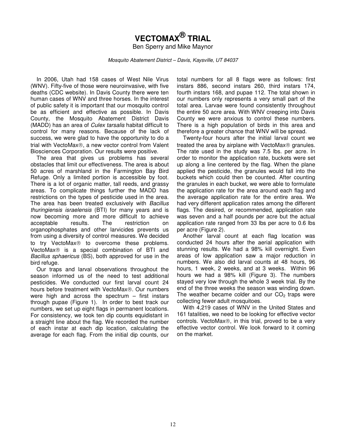# **VECTOMAX® TRIAL**

Ben Sperry and Mike Maynor

Mosquito Abatement District – Davis, Kaysville, UT 84037

In 2006, Utah had 158 cases of West Nile Virus (WNV). Fifty-five of those were neuroinvasive, with five deaths (CDC website). In Davis County there were ten human cases of WNV and three horses. In the interest of public safety it is important that our mosquito control be as efficient and effective as possible. In Davis County, the Mosquito Abatement District Davis (MADD) has an area of *Culex tarsalis* habitat difficult to control for many reasons. Because of the lack of success, we were glad to have the opportunity to do a trial with VectoMax®, a new vector control from Valent Biosciences Corporation. Our results were positive.

 The area that gives us problems has several obstacles that limit our effectiveness. The area is about 50 acres of marshland in the Farmington Bay Bird Refuge. Only a limited portion is accessible by foot. There is a lot of organic matter, tall reeds, and grassy areas. To complicate things further the MADD has restrictions on the types of pesticide used in the area. The area has been treated exclusively with Bacillus thuringiensis israelensis (BTI) for many years and is now becoming more and more difficult to achieve acceptable results. The restriction on organophosphates and other larvicides prevents us from using a diversity of control measures. We decided to try VectoMax<sup>®</sup> to overcome these problems. VectoMax<sup>®</sup> is a special combination of BTI and Bacillus sphaericus (BS), both approved for use in the bird refuge.

Our traps and larval observations throughout the season informed us of the need to test additional pesticides. We conducted our first larval count 24 hours before treatment with VectoMax®. Our numbers were high and across the spectrum – first instars through pupae (Figure 1). In order to best track our numbers, we set up eight flags in permanent locations. For consistency, we took ten dip counts equidistant in a straight line about the flag. We recorded the number of each instar at each dip location, calculating the average for each flag. From the initial dip counts, our

total numbers for all 8 flags were as follows: first instars 886, second instars 260, third instars 174, fourth instars 168, and pupae 112. The total shown in our numbers only represents a very small part of the total area. Larvae were found consistently throughout the entire 50 acre area. With WNV creeping into Davis County we were anxious to control these numbers. There is a high population of birds in this area and therefore a greater chance that WNV will be spread.

 Twenty-four hours after the initial larval count we treated the area by airplane with VectoMax $\circledR$  granules. The rate used in the study was 7.5 lbs. per acre. In order to monitor the application rate, buckets were set up along a line centered by the flag. When the plane applied the pesticide, the granules would fall into the buckets which could then be counted. After counting the granules in each bucket, we were able to formulate the application rate for the area around each flag and the average application rate for the entire area. We had very different application rates among the different flags. The desired, or recommended, application rate was seven and a half pounds per acre but the actual application rate ranged from 33 lbs per acre to 0.6 lbs per acre (Figure 2).

 Another larval count at each flag location was conducted 24 hours after the aerial application with stunning results. We had a 98% kill overnight. Even areas of low application saw a major reduction in numbers. We also did larval counts at 48 hours, 96 hours, 1 week, 2 weeks, and at 3 weeks. Within 96 hours we had a 98% kill (Figure 3). The numbers stayed very low through the whole 3 week trial. By the end of the three weeks the season was winding down. The weather became colder and our  $CO<sub>2</sub>$  traps were collecting fewer adult mosquitoes.

 With 4,219 cases of WNV in the United States and 161 fatalities, we need to be looking for effective vector controls. VectoMax<sup>®</sup>, in this trial, proved to be a very effective vector control. We look forward to it coming on the market.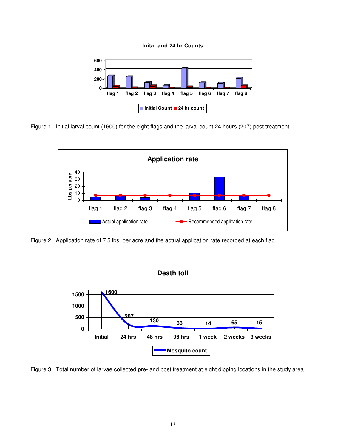

Figure 1. Initial larval count (1600) for the eight flags and the larval count 24 hours (207) post treatment.



Figure 2. Application rate of 7.5 lbs. per acre and the actual application rate recorded at each flag.



Figure 3. Total number of larvae collected pre- and post treatment at eight dipping locations in the study area.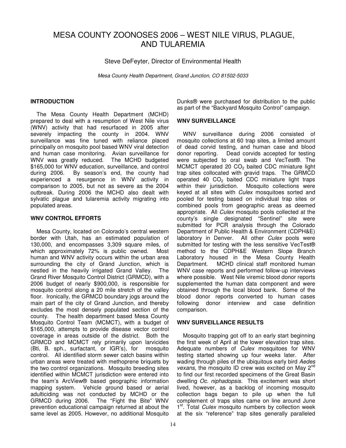# MESA COUNTY ZOONOSES 2006 – WEST NILE VIRUS, PLAGUE, AND TULAREMIA

Steve DeFeyter, Director of Environmental Health

Mesa County Health Department, Grand Junction, CO 81502-5033

### **INTRODUCTION**

The Mesa County Health Department (MCHD) prepared to deal with a resumption of West Nile virus (WNV) activity that had resurfaced in 2005 after severely impacting the county in 2004. WNV surveillance was fine tuned with reliance placed principally on mosquito pool based WNV viral detection and human case monitoring. Avian surveillance for WNV was greatly reduced. The MCHD budgeted \$165,000 for WNV education, surveillance, and control during 2006. By season's end, the county had experienced a resurgence in WNV activity in comparison to 2005, but not as severe as the 2004 outbreak. During 2006 the MCHD also dealt with sylvatic plague and tularemia activity migrating into populated areas.

### **WNV CONTROL EFFORTS**

Mesa County, located on Colorado's central western border with Utah, has an estimated population of 130,000, and encompasses 3,309 square miles, of which approximately 72% is public owned. Most human and WNV activity occurs within the urban area surrounding the city of Grand Junction, which is nestled in the heavily irrigated Grand Valley. The Grand River Mosquito Control District (GRMCD), with a 2006 budget of nearly \$900,000, is responsible for mosquito control along a 20 mile stretch of the valley floor. Ironically, the GRMCD boundary jogs around the main part of the city of Grand Junction, and thereby excludes the most densely populated section of the county. The health department based Mesa County Mosquito Control Team (MCMCT), with a budget of \$165,000, attempts to provide disease vector control coverage in areas outside of the district. Both the GRMCD and MCMCT rely primarily upon larvicides (Bti, B. sph., surfactant, or IGR's), for mosquito control. All identified storm sewer catch basins within urban areas were treated with methoprene briquets by the two control organizations. Mosquito breeding sites identified within MCMCT jurisdiction were entered into the team's ArcView® based geographic information mapping system. Vehicle ground based or aerial adulticiding was not conducted by MCHD or the GRMCD during 2006. The "Fight the Bite" WNV prevention educational campaign returned at about the same level as 2005. However, no additional Mosquito Dunks® were purchased for distribution to the public as part of the "Backyard Mosquito Control" campaign.

# **WNV SURVEILLANCE**

WNV surveillance during 2006 consisted of mosquito collections at 60 trap sites, a limited amount of dead corvid testing, and human case and blood donor reporting. Dead corvids accepted for testing were subjected to oral swab and VecTest®. The MCMCT operated 20  $CO<sub>2</sub>$  baited CDC miniature light trap sites collocated with gravid traps. The GRMCD operated 40  $CO<sub>2</sub>$  baited CDC miniature light traps within their jurisdiction. Mosquito collections were keyed at all sites with Culex mosquitoes sorted and pooled for testing based on individual trap sites or combined pools from geographic areas as deemed appropriate. All Culex mosquito pools collected at the county's single designated "Sentinel" site were submitted for PCR analysis through the Colorado Department of Public Health & Environment (CDPH&E) laboratory in Denver. All other Culex pools were submitted for testing with the less sensitive VecTest® method to the CDPH&E Western Slope Branch Laboratory housed in the Mesa County Health Department. MCHD clinical staff monitored human WNV case reports and performed follow-up interviews where possible. West Nile viremic blood donor reports supplemented the human data component and were obtained through the local blood bank. Some of the blood donor reports converted to human cases following donor interview and case definition comparison.

# **WNV SURVEILLANCE RESULTS**

Mosquito trapping got off to an early start beginning the first week of April at the lower elevation trap sites. Adequate numbers of Culex mosquitoes for WNV testing started showing up four weeks later. After wading through piles of the ubiquitous early bird Aedes vexans, the mosquito ID crew was excited on May 2<sup>nd</sup> to find our first recorded specimens of the Great Basin dwelling Oc. niphadopsis. This excitement was short lived, however, as a backlog of incoming mosquito collection bags began to pile up when the full complement of traps sites came on line around June 1<sup>st</sup>. Total *Culex* mosquito numbers by collection week at the six "reference" trap sites generally paralleled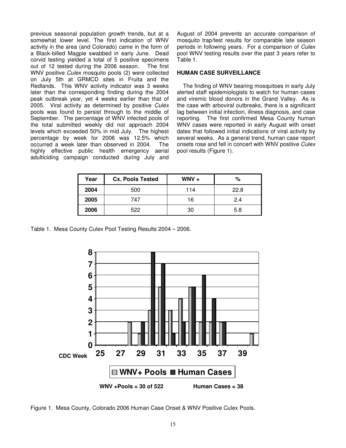previous seasonal population growth trends, but at a somewhat lower level. The first indication of WNV activity in the area (and Colorado) came in the form of a Black-billed Magpie swabbed in early June. Dead corvid testing yielded a total of 5 positive specimens out of 12 tested during the 2006 season. The first WNV positive Culex mosquito pools (2) were collected on July 5th at GRMCD sites in Fruita and the Redlands. This WNV activity indicator was 3 weeks later than the corresponding finding during the 2004 peak outbreak year, yet 4 weeks earlier than that of 2005. Viral activity as determined by positive Culex pools was found to persist through to the middle of September. The percentage of WNV infected pools of the total submitted weekly did not approach 2004 levels which exceeded 50% in mid July. The highest percentage by week for 2006 was 12.5% which occurred a week later than observed in 2004. The highly effective public health emergency aerial adulticiding campaign conducted during July and August of 2004 prevents an accurate comparison of mosquito trap/test results for comparable late season periods in following years. For a comparison of Culex pool WNV testing results over the past 3 years refer to Table 1.

#### **HUMAN CASE SURVEILLANCE**

The finding of WNV bearing mosquitoes in early July alerted staff epidemiologists to watch for human cases and viremic blood donors in the Grand Valley. As is the case with arboviral outbreaks, there is a significant lag between initial infection, illness diagnosis, and case reporting. The first confirmed Mesa County human WNV cases were reported in early August with onset dates that followed initial indications of viral activity by several weeks. As a general trend, human case report onsets rose and fell in concert with WNV positive Culex pool results (Figure 1).

| Year | <b>Cx. Pools Tested</b> | $WW +$ | %    |
|------|-------------------------|--------|------|
| 2004 | 500                     | 114    | 22.8 |
| 2005 | 747                     | 16     | 2.4  |
| 2006 | 522                     | 30     | 5.8  |

Table 1. Mesa County Culex Pool Testing Results 2004 – 2006.



Figure 1. Mesa County, Colorado 2006 Human Case Onset & WNV Positive Culex Pools.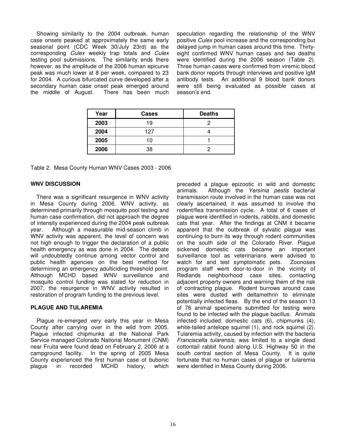Showing similarity to the 2004 outbreak, human case onsets peaked at approximately the same early seasonal point (CDC Week 30/July 23rd) as the corresponding Culex weekly trap totals and Culex testing pool submissions. The similarity ends there however, as the amplitude of the 2006 human epicurve peak was much lower at 8 per week, compared to 23 for 2004. A curious bifurcated curve developed after a secondary human case onset peak emerged around the middle of August. There has been much speculation regarding the relationship of the WNV positive Culex pool increase and the corresponding but delayed jump in human cases around this time. Thirtyeight confirmed WNV human cases and two deaths were identified during the 2006 season (Table 2). Three human cases were confirmed from viremic blood bank donor reports through interviews and positive IgM antibody tests. An additional 9 blood bank donors were still being evaluated as possible cases at season's end.

| Year        | Cases | <b>Deaths</b> |
|-------------|-------|---------------|
| 2003        | 19    |               |
| 2004<br>127 |       |               |
| 2005        | 10    |               |
| 2006        | 38    |               |

Table 2. Mesa County Human WNV Cases 2003 - 2006

# **WNV DISCUSSION**

There was a significant resurgence in WNV activity in Mesa County during 2006. WNV activity, as determined primarily through mosquito pool testing and human case confirmation, did not approach the degree of intensity experienced during the 2004 peak outbreak year. Although a measurable mid-season climb in WNV activity was apparent, the level of concern was not high enough to trigger the declaration of a public health emergency as was done in 2004. The debate will undoubtedly continue among vector control and public health agencies on the best method for determining an emergency adulticiding threshold point. Although MCHD based WNV surveillance and mosquito control funding was slated for reduction in 2007, the resurgence in WNV activity resulted in restoration of program funding to the previous level.

# **PLAGUE AND TULAREMIA**

Plague re-emerged very early this year in Mesa County after carrying over in the wild from 2005. Plague infected chipmunks at the National Park Service managed Colorado National Monument (CNM) near Fruita were found dead on February 2, 2006 at a campground facility. In the spring of 2005 Mesa County experienced the first human case of bubonic plague in recorded MCHD history, which preceded a plague epizootic in wild and domestic animals. Although the Yersinia pestis bacterial transmission route involved in the human case was not clearly ascertained, it was assumed to involve the rodent/flea transmission cycle. A total of 6 cases of plague were identified in rodents, rabbits, and domestic cats that year. After the findings at CNM it became apparent that the outbreak of sylvatic plague was continuing to burn its way through rodent communities on the south side of the Colorado River. Plague sickened domestic cats became an important surveillance tool as veterinarians were advised to watch for and test symptomatic pets. Zoonoses program staff went door-to-door in the vicinity of Redlands neighborhood case sites, contacting adjacent property owners and warning them of the risk of contracting plague. Rodent burrows around case sites were dusted with deltamethrin to eliminate potentially infected fleas. By the end of the season 13 of 76 animal specimens submitted for testing were found to be infected with the plague bacillus. Animals infected included: domestic cats (6), chipmunks (4), white-tailed antelope squirrel (1), and rock squirrel (2). Tularemia activity, caused by infection with the bacteria Franciscella tularensis, was limited to a single dead cottontail rabbit found along U.S. Highway 50 in the south central section of Mesa County. It is quite fortunate that no human cases of plague or tularemia were identified in Mesa County during 2006.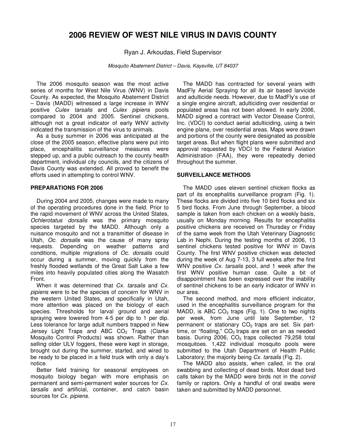# **2006 REVIEW OF WEST NILE VIRUS IN DAVIS COUNTY**

# Ryan J. Arkoudas, Field Supervisor

Mosquito Abatement District – Davis, Kaysville, UT 84037

The 2006 mosquito season was the most active series of months for West Nile Virus (WNV) in Davis County. As expected, the Mosquito Abatement District – Davis (MADD) witnessed a large increase in WNV positive Culex tarsalis and Culex pipiens pools compared to 2004 and 2005. Sentinel chickens, although not a great indicator of early WNV activity indicated the transmission of the virus to animals.

 As a busy summer in 2006 was anticipated at the close of the 2005 season, effective plans were put into place, encephalitis surveillance measures were stepped up, and a public outreach to the county health department, individual city councils, and the citizens of Davis County was extended. All proved to benefit the efforts used in attempting to control WNV.

# **PREPARATIONS FOR 2006**

During 2004 and 2005, changes were made to many of the operating procedures done in the field. Prior to the rapid movement of WNV across the United States, Ochlerotatus dorsalis was the primary mosquito species targeted by the MADD. Although only a nuisance mosquito and not a transmitter of disease in Utah, Oc. dorsalis was the cause of many spray requests. Depending on weather patterns and conditions, multiple migrations of Oc. dorsalis could occur during a summer, moving quickly from the freshly flooded wetlands of the Great Salt Lake a few miles into heavily populated cities along the Wasatch Front.

When it was determined that Cx. tarsalis and Cx. pipiens were to be the species of concern for WNV in the western United States, and specifically in Utah, more attention was placed on the biology of each species. Thresholds for larval ground and aerial spraying were lowered from 4-5 per dip to 1 per dip. Less tolerance for large adult numbers trapped in New Jersey Light Traps and ABC  $CO<sub>2</sub>$  Traps (Clarke Mosquito Control Products) was shown. Rather than selling older ULV foggers, these were kept in storage, brought out during the summer, started, and wired to be ready to be placed in a field truck with only a day's notice.

Better field training for seasonal employees on mosquito biology began with more emphasis on permanent and semi-permanent water sources for Cx. tarsalis and artificial, container, and catch basin sources for Cx. pipiens.

The MADD has contracted for several years with MadFly Aerial Spraying for all its air based larvicide and adulticide needs. However, due to MadFly's use of a single engine aircraft, adulticiding over residential or populated areas has not been allowed. In early 2006, MADD signed a contract with Vector Disease Control, Inc. (VDCI) to conduct aerial adulticiding, using a twin engine plane, over residential areas. Maps were drawn and portions of the county were designated as possible target areas. But when flight plans were submitted and approval requested by VDCI to the Federal Aviation Administration (FAA), they were repeatedly denied throughout the summer.

#### **SURVEILLANCE METHODS**

 The MADD uses eleven sentinel chicken flocks as part of its encephalitis surveillance program (Fig. 1). These flocks are divided into five 10 bird flocks and six 5 bird flocks. From June through September, a blood sample is taken from each chicken on a weekly basis, usually on Monday morning. Results for encephalitis positive chickens are received on Thursday or Friday of the same week from the Utah Veterinary Diagnostic Lab in Nephi. During the testing months of 2006, 13 sentinel chickens tested positive for WNV in Davis County. The first WNV positive chicken was detected during the week of Aug 7-13, 3 full weeks after the first WNV positive Cx. tarsalis pool, and 1 week after the first WNV positive human case. Quite a bit of disappointment has been expressed over the inability of sentinel chickens to be an early indicator of WNV in our area.

 The second method, and more efficient indicator, used in the encephalitis surveillance program for the MADD, is ABC  $CO<sub>2</sub>$  traps (Fig. 1). One to two nights per week, from June until late September, 12 permanent or stationary  $CO<sub>2</sub>$  traps are set. Six parttime, or "floating,"  $CO<sub>2</sub>$  traps are set on an as needed basis. During 2006,  $CO<sub>2</sub>$  traps collected 79,258 total mosquitoes. 1,422 individual mosquito pools were submitted to the Utah Department of Health Public Laboratory; the majority being Cx. tarsalis (Fig. 2).

 The MADD also assists, when called, in the oral swabbing and collecting of dead birds. Most dead bird calls taken by the MADD were birds not in the corvid family or raptors. Only a handful of oral swabs were taken and submitted by MADD personnel.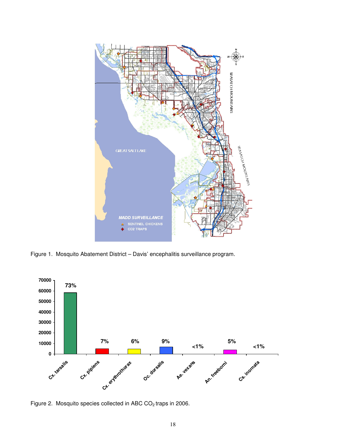

Figure 1. Mosquito Abatement District – Davis' encephalitis surveillance program.



Figure 2. Mosquito species collected in ABC CO<sub>2</sub> traps in 2006.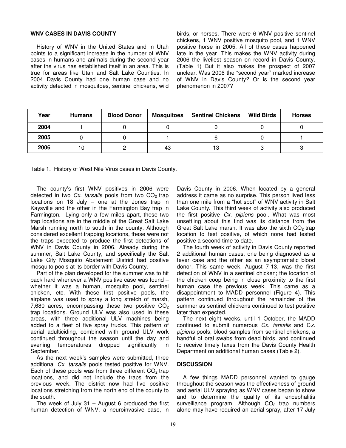#### **WNV CASES IN DAVIS COUNTY**

 History of WNV in the United States and in Utah points to a significant increase in the number of WNV cases in humans and animals during the second year after the virus has established itself in an area. This is true for areas like Utah and Salt Lake Counties. In 2004 Davis County had one human case and no activity detected in mosquitoes, sentinel chickens, wild birds, or horses. There were 6 WNV positive sentinel chickens, 1 WNV positive mosquito pool, and 1 WNV positive horse in 2005. All of these cases happened late in the year. This makes the WNV activity during 2006 the liveliest season on record in Davis County. (Table 1) But it also makes the prospect of 2007 unclear. Was 2006 the "second year" marked increase of WNV in Davis County? Or is the second year phenomenon in 2007?

| Year | <b>Humans</b> | <b>Blood Donor</b> | <b>Mosquitoes</b> | <b>Sentinel Chickens</b> | <b>Wild Birds</b> | <b>Horses</b> |
|------|---------------|--------------------|-------------------|--------------------------|-------------------|---------------|
| 2004 |               |                    |                   |                          |                   |               |
| 2005 |               |                    |                   |                          |                   |               |
| 2006 | 10            |                    | 43                | 13                       |                   |               |

Table 1. History of West Nile Virus cases in Davis County.

 The county's first WNV positives in 2006 were detected in two Cx. tarsalis pools from two  $CO<sub>2</sub>$  trap locations on 18 July – one at the Jones trap in Kaysville and the other in the Farmington Bay trap in Farmington. Lying only a few miles apart, these two trap locations are in the middle of the Great Salt Lake Marsh running north to south in the county. Although considered excellent trapping locations, these were not the traps expected to produce the first detections of WNV in Davis County in 2006. Already during the summer, Salt Lake County, and specifically the Salt Lake City Mosquito Abatement District had positive mosquito pools at its border with Davis County.

 Part of the plan developed for the summer was to hit back hard whenever a WNV positive case was found – whether it was a human, mosquito pool, sentinel chicken, etc. With these first positive pools, the airplane was used to spray a long stretch of marsh, 7,680 acres, encompassing these two positive  $CO<sub>2</sub>$ trap locations. Ground ULV was also used in these areas, with three additional ULV machines being added to a fleet of five spray trucks. This pattern of aerial adulticiding, combined with ground ULV work continued throughout the season until the day and evening temperatures dropped significantly in September.

 As the next week's samples were submitted, three additional Cx. tarsalis pools tested positive for WNV. Each of these pools was from three different  $CO<sub>2</sub>$  trap locations, and did not include the traps from the previous week. The district now had five positive locations stretching from the north end of the county to the south.

 The week of July 31 – August 6 produced the first human detection of WNV, a neuroinvasive case, in Davis County in 2006. When located by a general address it came as no surprise. This person lived less than one mile from a "hot spot" of WNV activity in Salt Lake County. This third week of activity also produced the first positive Cx. pipiens pool. What was most unsettling about this find was its distance from the Great Salt Lake marsh. It was also the sixth  $CO<sub>2</sub>$  trap location to test positive, of which none had tested positive a second time to date.

The fourth week of activity in Davis County reported 2 additional human cases, one being diagnosed as a fever case and the other as an asymptomatic blood donor. This same week, August 7-13, was the first detection of WNV in a sentinel chicken; the location of the chicken coop being in close proximity to the first human case the previous week. This came as a disappointment to MADD personnel (Figure 4). This pattern continued throughout the remainder of the summer as sentinel chickens continued to test positive later than expected.

The next eight weeks, until 1 October, the MADD continued to submit numerous Cx. tarsalis and Cx. pipiens pools, blood samples from sentinel chickens, a handful of oral swabs from dead birds, and continued to receive timely faxes from the Davis County Health Department on additional human cases (Table 2).

#### **DISCUSSION**

A few things MADD personnel wanted to gauge throughout the season was the effectiveness of ground and aerial ULV spraying as WNV cases began to show and to determine the quality of its encephalitis surveillance program. Although  $CO<sub>2</sub>$  trap numbers alone may have required an aerial spray, after 17 July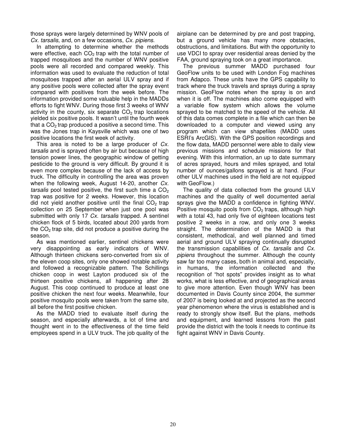those sprays were largely determined by WNV pools of Cx. tarsalis, and, on a few occasions, Cx. pipiens.

In attempting to determine whether the methods were effective, each  $CO<sub>2</sub>$  trap with the total number of trapped mosquitoes and the number of WNV positive pools were all recorded and compared weekly. This information was used to evaluate the reduction of total mosquitoes trapped after an aerial ULV spray and if any positive pools were collected after the spray event compared with positives from the week before. The information provided some valuable help in the MADDs efforts to fight WNV. During those first 3 weeks of WNV activity in the county, six separate  $CO<sub>2</sub>$  trap locations yielded six positive pools. It wasn't until the fourth week that a  $CO<sub>2</sub>$  trap produced a positive a second time. This was the Jones trap in Kaysville which was one of two positive locations the first week of activity.

This area is noted to be a large producer of Cx. tarsalis and is sprayed often by air but because of high tension power lines, the geographic window of getting pesticide to the ground is very difficult. By ground it is even more complex because of the lack of access by truck. The difficulty in controlling the area was proven when the following week, August 14-20, another Cx. tarsalis pool tested positive, the first such time a  $CO<sub>2</sub>$ trap was positive for 2 weeks. However, this location did not yield another positive until the final  $CO<sub>2</sub>$  trap collection on 25 September when just one pool was submitted with only 17 Cx. tarsalis trapped. A sentinel chicken flock of 5 birds, located about 200 yards from the  $CO<sub>2</sub>$  trap site, did not produce a positive during the season.

As was mentioned earlier, sentinel chickens were very disappointing as early indicators of WNV. Although thirteen chickens sero-converted from six of the eleven coop sites, only one showed notable activity and followed a recognizable pattern. The Schillings chicken coop in west Layton produced six of the thirteen positive chickens, all happening after 28 August. This coop continued to produce at least one positive chicken the next four weeks. Meanwhile, four positive mosquito pools were taken from the same site, all before the first positive chicken.

As the MADD tried to evaluate itself during the season, and especially afterwards, a lot of time and thought went in to the effectiveness of the time field employees spend in a ULV truck. The job quality of the

airplane can be determined by pre and post trapping, but a ground vehicle has many more obstacles, obstructions, and limitations. But with the opportunity to use VDCI to spray over residential areas denied by the FAA, ground spraying took on a great importance.

The previous summer MADD purchased four GeoFlow units to be used with London Fog machines from Adapco. These units have the GPS capability to track where the truck travels and sprays during a spray mission. GeoFlow notes when the spray is on and when it is off. The machines also come equipped with a variable flow system which allows the volume sprayed to be matched to the speed of the vehicle. All of this data comes complete in a file which can then be downloaded to a computer and viewed using any program which can view shapefiles (MADD uses ESRI's ArcGIS). With the GPS position recordings and the flow data, MADD personnel were able to daily view previous missions and schedule missions for that evening. With this information, an up to date summary of acres sprayed, hours and miles sprayed, and total number of ounces/gallons sprayed is at hand. (Four other ULV machines used in the field are not equipped with GeoFlow.)

The quality of data collected from the ground ULV machines and the quality of well documented aerial sprays give the MADD a confidence in fighting WNV. Positive mosquito pools from  $CO<sub>2</sub>$  traps, although high with a total 43, had only five of eighteen locations test positive 2 weeks in a row, and only one 3 weeks straight. The determination of the MADD is that consistent, methodical, and well planned and timed aerial and ground ULV spraying continually disrupted the transmission capabilities of Cx. tarsalis and Cx. pipiens throughout the summer. Although the county saw far too many cases, both in animal and, especially, in humans, the information collected and the recognition of "hot spots" provides insight as to what works, what is less effective, and of geographical areas to give more attention. Even though WNV has been documented in Davis County since 2004, the summer of 2007 is being looked at and projected as the second year phenomenon where the virus is established and is ready to strongly show itself. But the plans, methods and equipment, and learned lessons from the past provide the district with the tools it needs to continue its fight against WNV in Davis County.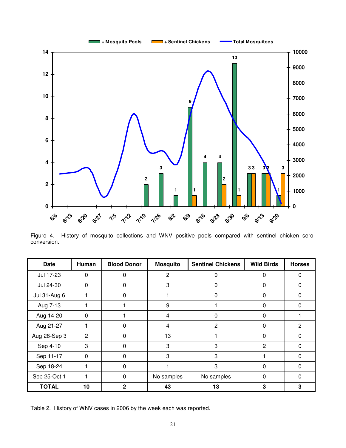

Figure 4. History of mosquito collections and WNV positive pools compared with sentinel chicken seroconversion.

| Date         | Human    | <b>Blood Donor</b> | <b>Mosquito</b> | <b>Sentinel Chickens</b> | <b>Wild Birds</b> | <b>Horses</b>  |
|--------------|----------|--------------------|-----------------|--------------------------|-------------------|----------------|
| Jul 17-23    | $\Omega$ |                    | $\overline{2}$  | O                        | 0                 | 0              |
| Jul 24-30    | 0        | 0                  | 3               | 0                        | $\Omega$          | $\Omega$       |
| Jul 31-Aug 6 |          | $\Omega$           |                 | 0                        | $\Omega$          | $\Omega$       |
| Aug 7-13     |          |                    | 9               |                          | 0                 | 0              |
| Aug 14-20    | 0        |                    | 4               | 0                        | $\Omega$          |                |
| Aug 21-27    |          | 0                  | $\overline{4}$  | 2                        | $\Omega$          | $\overline{2}$ |
| Aug 28-Sep 3 | 2        | $\Omega$           | 13              |                          | $\Omega$          | $\Omega$       |
| Sep 4-10     | 3        | $\Omega$           | 3               | 3                        | 2                 | $\Omega$       |
| Sep 11-17    | $\Omega$ | $\Omega$           | 3               | 3                        | 1                 | $\Omega$       |
| Sep 18-24    |          | $\Omega$           | 1               | 3                        | $\Omega$          | $\Omega$       |
| Sep 25-Oct 1 |          | $\Omega$           | No samples      | No samples               | $\Omega$          | $\Omega$       |
| <b>TOTAL</b> | 10       | 2                  | 43              | 13                       | 3                 | 3              |

Table 2. History of WNV cases in 2006 by the week each was reported.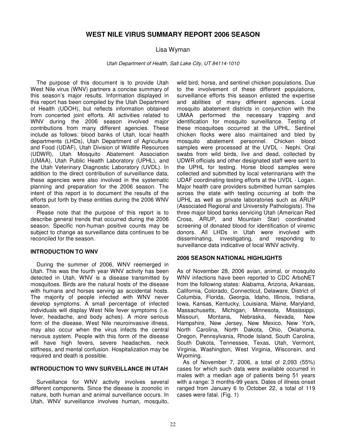# **WEST NILE VIRUS SUMMARY REPORT 2006 SEASON**

# Lisa Wyman

Utah Department of Health, Salt Lake City, UT 84114-1010

The purpose of this document is to provide Utah West Nile virus (WNV) partners a concise summary of this season's major results. Information displayed in this report has been compiled by the Utah Department of Health (UDOH), but reflects information obtained from concerted joint efforts. All activities related to WNV during the 2006 season involved major contributions from many different agencies. These include as follows: blood banks of Utah, local health departments (LHDs), Utah Department of Agriculture and Food (UDAF), Utah Division of Wildlife Resources (UDWR), Utah Mosquito Abatement Association (UMAA), Utah Public Health Laboratory (UPHL), and the Utah Veterinary Diagnostic Laboratory (UVDL). In addition to the direct contribution of surveillance data, these agencies were also involved in the systematic planning and preparation for the 2006 season. The intent of this report is to document the results of the efforts put forth by these entities during the 2006 WNV season.

Please note that the purpose of this report is to describe general trends that occurred during the 2006 season. Specific non-human positive counts may be subject to change as surveillance data continues to be reconciled for the season.

# **INTRODUCTION TO WNV**

During the summer of 2006, WNV reemerged in Utah. This was the fourth year WNV activity has been detected in Utah. WNV is a disease transmitted by mosquitoes. Birds are the natural hosts of the disease with humans and horses serving as accidental hosts. The majority of people infected with WNV never develop symptoms. A small percentage of infected individuals will display West Nile fever symptoms (i.e. fever, headache, and body aches). A more serious form of the disease, West Nile neuroinvasive illness, may also occur when the virus infects the central nervous system. People with this form of the disease will have high fevers, severe headaches, neck stiffness, and mental confusion. Hospitalization may be required and death is possible.

# **INTRODUCTION TO WNV SURVEILLANCE IN UTAH**

Surveillance for WNV activity involves several different components. Since the disease is zoonotic in nature, both human and animal surveillance occurs. In Utah, WNV surveillance involves human, mosquito, wild bird, horse, and sentinel chicken populations. Due to the involvement of these different populations, surveillance efforts this season enlisted the expertise and abilities of many different agencies. Local mosquito abatement districts in conjunction with the UMAA performed the necessary trapping and identification for mosquito surveillance. Testing of these mosquitoes occurred at the UPHL. Sentinel chicken flocks were also maintained and bled by mosquito abatement personnel. Chicken blood samples were processed at the UVDL - Nephi. Oral swabs from wild birds, live and dead, collected by UDWR officials and other designated staff were sent to the UPHL for testing. Horse blood samples were collected and submitted by local veterinarians with the UDAF coordinating testing efforts at the UVDL - Logan. Major health care providers submitted human samples across the state with testing occurring at both the UPHL as well as private laboratories such as ARUP (Associated Regional and University Pathologists). The three major blood banks servicing Utah (American Red Cross, ARUP, and Mountain Star) coordinated screening of donated blood for identification of viremic donors. All LHDs in Utah were involved with disseminating, investigating, and responding to surveillance data indicative of local WNV activity.

# **2006 SEASON NATIONAL HIGHLIGHTS**

As of November 28, 2006 avian, animal, or mosquito WNV infections have been reported to CDC ArboNET from the following states: Alabama, Arizona, Arkansas, California, Colorado, Connecticut, Delaware, District of Columbia, Florida, Georgia, Idaho, Illinois, Indiana, Iowa, Kansas, Kentucky, Louisiana, Maine, Maryland, Massachusetts, Michigan, Minnesota, Mississippi, Missouri, Montana, Nebraska, Nevada, New Hampshire, New Jersey, New Mexico, New York, North Carolina, North Dakota, Ohio, Oklahoma, Oregon, Pennsylvania, Rhode Island, South Carolina, South Dakota, Tennessee, Texas, Utah, Vermont, Virginia, Washington, West Virginia, Wisconsin, and Wyoming.

 As of November 7, 2006, a total of 2,093 (55%) cases for which such data were available occurred in males with a median age of patients being 51 years with a range: 3 months-99 years. Dates of illness onset ranged from January 6 to October 22, a total of 119 cases were fatal. (Fig. 1)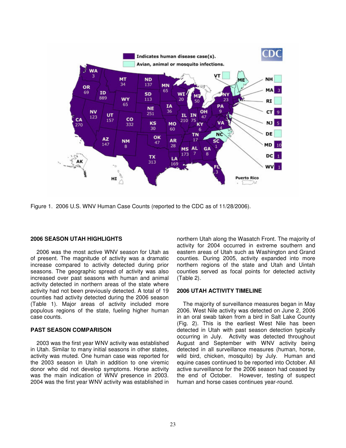

Figure 1. 2006 U.S. WNV Human Case Counts (reported to the CDC as of 11/28/2006).

# **2006 SEASON UTAH HIGHLIGHTS**

2006 was the most active WNV season for Utah as of present. The magnitude of activity was a dramatic increase compared to activity detected during prior seasons. The geographic spread of activity was also increased over past seasons with human and animal activity detected in northern areas of the state where activity had not been previously detected. A total of 19 counties had activity detected during the 2006 season (Table 1). Major areas of activity included more populous regions of the state, fueling higher human case counts.

### **PAST SEASON COMPARISON**

2003 was the first year WNV activity was established in Utah. Similar to many initial seasons in other states, activity was muted. One human case was reported for the 2003 season in Utah in addition to one viremic donor who did not develop symptoms. Horse activity was the main indication of WNV presence in 2003. 2004 was the first year WNV activity was established in northern Utah along the Wasatch Front. The majority of activity for 2004 occurred in extreme southern and eastern areas of Utah such as Washington and Grand counties. During 2005, activity expanded into more northern regions of the state and Utah and Uintah counties served as focal points for detected activity (Table 2).

#### **2006 UTAH ACTIVITY TIMELINE**

The majority of surveillance measures began in May 2006. West Nile activity was detected on June 2, 2006 in an oral swab taken from a bird in Salt Lake County (Fig. 2). This is the earliest West Nile has been detected in Utah with past season detection typically occurring in July. Activity was detected throughout August and September with WNV activity being detected in all surveillance measures (human, horse, wild bird, chicken, mosquito) by July. Human and equine cases continued to be reported into October. All active surveillance for the 2006 season had ceased by the end of October. However, testing of suspect human and horse cases continues year-round.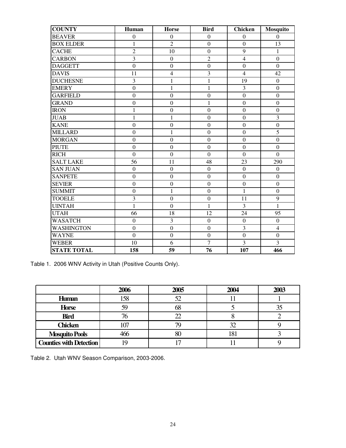| <b>COUNTY</b>      | Human            | <b>Horse</b>            | <b>Bird</b>      | <b>Chicken</b>   | <b>Mosquito</b>         |
|--------------------|------------------|-------------------------|------------------|------------------|-------------------------|
| <b>BEAVER</b>      | $\overline{0}$   | $\Omega$                | $\Omega$         | $\Omega$         | $\overline{0}$          |
| <b>BOX ELDER</b>   | $\mathbf{1}$     | $\overline{2}$          | $\boldsymbol{0}$ | $\boldsymbol{0}$ | 13                      |
| <b>CACHE</b>       | $\overline{2}$   | 10                      | $\overline{0}$   | 9                | $\mathbf{1}$            |
| <b>CARBON</b>      | $\overline{3}$   | $\boldsymbol{0}$        | $\overline{c}$   | $\overline{4}$   | $\boldsymbol{0}$        |
| <b>DAGGETT</b>     | $\boldsymbol{0}$ | $\mathbf{0}$            | $\boldsymbol{0}$ | $\boldsymbol{0}$ | $\boldsymbol{0}$        |
| <b>DAVIS</b>       | 11               | $\overline{\mathbf{4}}$ | 3                | $\overline{4}$   | 42                      |
| <b>DUCHESNE</b>    | 3                | $\mathbf{1}$            | $\mathbf{1}$     | 19               | $\boldsymbol{0}$        |
| <b>EMERY</b>       | $\overline{0}$   | $\mathbf{1}$            | $\mathbf{1}$     | $\overline{3}$   | $\overline{0}$          |
| <b>GARFIELD</b>    | $\boldsymbol{0}$ | $\boldsymbol{0}$        | $\boldsymbol{0}$ | $\overline{0}$   | $\boldsymbol{0}$        |
| <b>GRAND</b>       | $\boldsymbol{0}$ | $\mathbf{0}$            | $\mathbf{1}$     | $\boldsymbol{0}$ | $\boldsymbol{0}$        |
| <b>IRON</b>        | $\mathbf{1}$     | $\mathbf{0}$            | $\mathbf{0}$     | $\boldsymbol{0}$ | $\boldsymbol{0}$        |
| <b>JUAB</b>        | $\mathbf{1}$     | $\mathbf{1}$            | $\boldsymbol{0}$ | $\boldsymbol{0}$ | $\overline{\mathbf{3}}$ |
| <b>KANE</b>        | $\boldsymbol{0}$ | $\overline{0}$          | $\overline{0}$   | $\overline{0}$   | $\overline{0}$          |
| <b>MILLARD</b>     | $\boldsymbol{0}$ | $\mathbf{1}$            | $\boldsymbol{0}$ | $\overline{0}$   | 5                       |
| <b>MORGAN</b>      | $\boldsymbol{0}$ | $\overline{0}$          | $\boldsymbol{0}$ | $\Omega$         | $\overline{0}$          |
| <b>PIUTE</b>       | $\boldsymbol{0}$ | $\overline{0}$          | $\mathbf{0}$     | $\overline{0}$   | $\mathbf{0}$            |
| <b>RICH</b>        | $\boldsymbol{0}$ | $\overline{0}$          | $\overline{0}$   | $\boldsymbol{0}$ | $\overline{0}$          |
| <b>SALT LAKE</b>   | 56               | 11                      | 48               | 23               | 290                     |
| <b>SAN JUAN</b>    | $\boldsymbol{0}$ | $\boldsymbol{0}$        | $\boldsymbol{0}$ | $\overline{0}$   | $\boldsymbol{0}$        |
| <b>SANPETE</b>     | $\boldsymbol{0}$ | $\mathbf{0}$            | $\boldsymbol{0}$ | $\boldsymbol{0}$ | $\boldsymbol{0}$        |
| <b>SEVIER</b>      | $\boldsymbol{0}$ | $\overline{0}$          | $\overline{0}$   | $\overline{0}$   | $\boldsymbol{0}$        |
| <b>SUMMIT</b>      | $\boldsymbol{0}$ | $\mathbf{1}$            | $\boldsymbol{0}$ | $\mathbf{1}$     | $\boldsymbol{0}$        |
| <b>TOOELE</b>      | 3                | $\overline{0}$          | $\overline{0}$   | 11               | 9                       |
| <b>UINTAH</b>      | $\mathbf{1}$     | $\boldsymbol{0}$        | $\mathbf{1}$     | 3                | $\overline{1}$          |
| <b>UTAH</b>        | 66               | 18                      | 12               | 24               | 95                      |
| <b>WASATCH</b>     | $\boldsymbol{0}$ | $\overline{3}$          | $\boldsymbol{0}$ | $\overline{0}$   | $\boldsymbol{0}$        |
| <b>WASHINGTON</b>  | $\boldsymbol{0}$ | $\boldsymbol{0}$        | $\boldsymbol{0}$ | $\overline{3}$   | $\overline{4}$          |
| <b>WAYNE</b>       | $\overline{0}$   | $\overline{0}$          | $\overline{0}$   | $\overline{0}$   | $\overline{0}$          |
| <b>WEBER</b>       | 10               | 6                       | $\tau$           | 3                | 3                       |
| <b>STATE TOTAL</b> | 158              | 59                      | 76               | 107              | 466                     |

Table 1. 2006 WNV Activity in Utah (Positive Counts Only).

|                                | 2006 | 2005 | 2004 | 2003 |
|--------------------------------|------|------|------|------|
| <b>Human</b>                   | 158  | 52   |      |      |
| <b>Horse</b>                   |      | 68   |      |      |
| <b>Bird</b>                    |      |      |      |      |
| <b>Chicken</b>                 |      |      |      |      |
| <b>Mosquito Pools</b>          |      | οU   | 181  |      |
| <b>Counties with Detection</b> |      |      |      |      |

Table 2. Utah WNV Season Comparison, 2003-2006.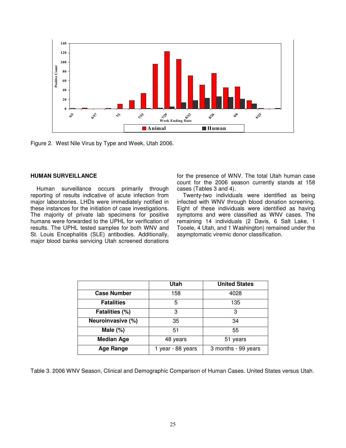

Figure 2. West Nile Virus by Type and Week, Utah 2006.

# **HUMAN SURVEILLANCE**

Human surveillance occurs primarily through reporting of results indicative of acute infection from major laboratories. LHDs were immediately notified in these instances for the initiation of case investigations. The majority of private lab specimens for positive humans were forwarded to the UPHL for verification of results. The UPHL tested samples for both WNV and St. Louis Encephalitis (SLE) antibodies. Additionally, major blood banks servicing Utah screened donations for the presence of WNV. The total Utah human case count for the 2006 season currently stands at 158 cases (Tables 3 and 4).

Twenty-two individuals were identified as being infected with WNV through blood donation screening. Eight of these individuals were identified as having symptoms and were classified as WNV cases. The remaining 14 individuals (2 Davis, 6 Salt Lake, 1 Tooele, 4 Utah, and 1 Washington) remained under the asymptomatic viremic donor classification.

|                    | Utah                                     | <b>United States</b> |
|--------------------|------------------------------------------|----------------------|
| <b>Case Number</b> | 158                                      | 4028                 |
| <b>Fatalities</b>  | 5                                        | 135                  |
| Fatalities (%)     | 3                                        | 3                    |
| Neuroinvasive (%)  | 35                                       | 34                   |
| Male $(\%)$        | 51                                       | 55                   |
| <b>Median Age</b>  | 48 years                                 | 51 years             |
| <b>Age Range</b>   | 1 year - 88 years<br>3 months - 99 years |                      |

Table 3. 2006 WNV Season, Clinical and Demographic Comparison of Human Cases. United States versus Utah.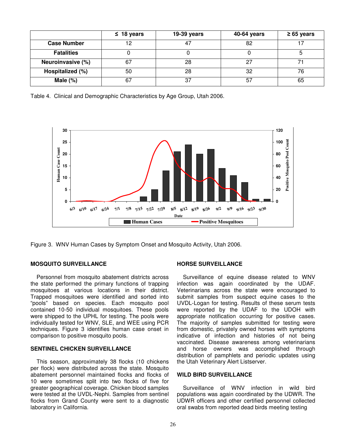|                    | $\leq 18$ years | 19-39 years | 40-64 years | $\geq 65$ years |
|--------------------|-----------------|-------------|-------------|-----------------|
| <b>Case Number</b> |                 | 47          | 82          |                 |
| <b>Fatalities</b>  |                 |             |             |                 |
| Neuroinvasive (%)  | 67              | 28          | っっ          |                 |
| Hospitalized (%)   | 50              | 28          | 32          | 76              |
| Male $(\%)$        | 67              | 37          | 57          | 65              |

Table 4. Clinical and Demographic Characteristics by Age Group, Utah 2006.



Figure 3. WNV Human Cases by Symptom Onset and Mosquito Activity, Utah 2006.

# **MOSQUITO SURVEILLANCE**

Personnel from mosquito abatement districts across the state performed the primary functions of trapping mosquitoes at various locations in their district. Trapped mosquitoes were identified and sorted into "pools" based on species. Each mosquito pool contained 10-50 individual mosquitoes. These pools were shipped to the UPHL for testing. The pools were individually tested for WNV, SLE, and WEE using PCR techniques. Figure 3 identifies human case onset in comparison to positive mosquito pools.

# **SENTINEL CHICKEN SURVEILLANCE**

This season, approximately 38 flocks (10 chickens per flock) were distributed across the state. Mosquito abatement personnel maintained flocks and flocks of 10 were sometimes split into two flocks of five for greater geographical coverage. Chicken blood samples were tested at the UVDL-Nephi. Samples from sentinel flocks from Grand County were sent to a diagnostic laboratory in California.

#### **HORSE SURVEILLANCE**

Surveillance of equine disease related to WNV infection was again coordinated by the UDAF. Veterinarians across the state were encouraged to submit samples from suspect equine cases to the UVDL-Logan for testing. Results of these serum tests were reported by the UDAF to the UDOH with appropriate notification occurring for positive cases. The majority of samples submitted for testing were from domestic, privately owned horses with symptoms indicative of infection and histories of not being vaccinated. Disease awareness among veterinarians and horse owners was accomplished through distribution of pamphlets and periodic updates using the Utah Veterinary Alert Listserver.

#### **WILD BIRD SURVEILLANCE**

Surveillance of WNV infection in wild bird populations was again coordinated by the UDWR. The UDWR officers and other certified personnel collected oral swabs from reported dead birds meeting testing